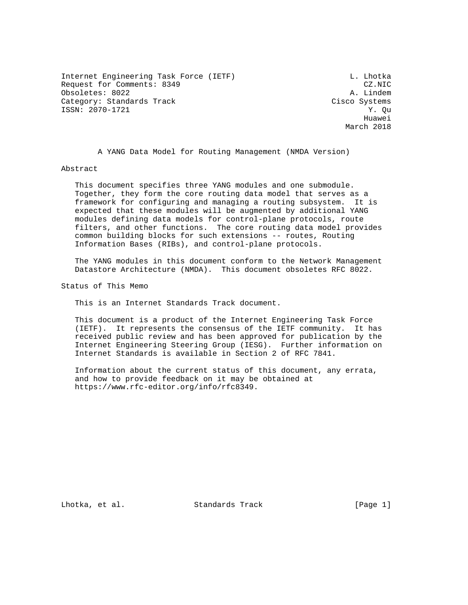Internet Engineering Task Force (IETF) and the contract of the L. Lhotka Request for Comments: 8349 CZ.NIC<br>
Obsoletes: 8022 A. Lindem Obsoletes: 8022 Category: Standards Track Cisco Systems ISSN: 2070-1721 Y. Qu

he distributed by the control of the control of the control of the control of the control of the control of the control of the control of the control of the control of the control of the control of the control of the contr March 2018

A YANG Data Model for Routing Management (NMDA Version)

Abstract

 This document specifies three YANG modules and one submodule. Together, they form the core routing data model that serves as a framework for configuring and managing a routing subsystem. It is expected that these modules will be augmented by additional YANG modules defining data models for control-plane protocols, route filters, and other functions. The core routing data model provides common building blocks for such extensions -- routes, Routing Information Bases (RIBs), and control-plane protocols.

 The YANG modules in this document conform to the Network Management Datastore Architecture (NMDA). This document obsoletes RFC 8022.

Status of This Memo

This is an Internet Standards Track document.

 This document is a product of the Internet Engineering Task Force (IETF). It represents the consensus of the IETF community. It has received public review and has been approved for publication by the Internet Engineering Steering Group (IESG). Further information on Internet Standards is available in Section 2 of RFC 7841.

 Information about the current status of this document, any errata, and how to provide feedback on it may be obtained at https://www.rfc-editor.org/info/rfc8349.

Lhotka, et al. Standards Track [Page 1]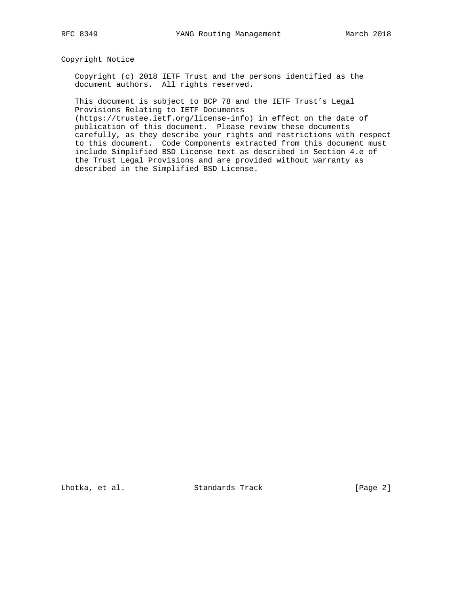Copyright Notice

 Copyright (c) 2018 IETF Trust and the persons identified as the document authors. All rights reserved.

 This document is subject to BCP 78 and the IETF Trust's Legal Provisions Relating to IETF Documents

 (https://trustee.ietf.org/license-info) in effect on the date of publication of this document. Please review these documents carefully, as they describe your rights and restrictions with respect to this document. Code Components extracted from this document must include Simplified BSD License text as described in Section 4.e of the Trust Legal Provisions and are provided without warranty as described in the Simplified BSD License.

Lhotka, et al. Standards Track [Page 2]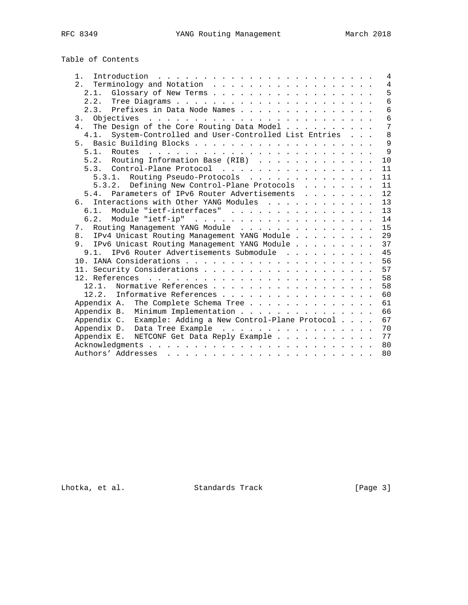|  | Table of Contents |
|--|-------------------|
|  |                   |

| $1 \cdot$                                                  |  | $\overline{4}$ |
|------------------------------------------------------------|--|----------------|
|                                                            |  | $\overline{4}$ |
| Glossary of New Terms<br>2.1.                              |  | 5              |
|                                                            |  | $\overline{6}$ |
| 2.3. Prefixes in Data Node Names                           |  | 6              |
|                                                            |  | $\overline{6}$ |
| The Design of the Core Routing Data Model<br>4.            |  | $\overline{7}$ |
| System-Controlled and User-Controlled List Entries<br>4.1. |  | 8              |
|                                                            |  | 9              |
|                                                            |  | $\overline{9}$ |
| 5.2. Routing Information Base (RIB)                        |  | 10             |
| 5.3. Control-Plane Protocol                                |  | 11             |
| 5.3.1. Routing Pseudo-Protocols                            |  | 11             |
| 5.3.2. Defining New Control-Plane Protocols                |  | 11             |
| 5.4. Parameters of IPv6 Router Advertisements              |  | 12             |
| 6. Interactions with Other YANG Modules                    |  | 13             |
| 6.1. Module "ietf-interfaces"                              |  | 13             |
|                                                            |  | 14             |
| Routing Management YANG Module<br>7.                       |  | 15             |
| 8. IPv4 Unicast Routing Management YANG Module             |  | 29             |
| 9. IPv6 Unicast Routing Management YANG Module             |  | 37             |
| IPv6 Router Advertisements Submodule<br>9.1.               |  | 45             |
|                                                            |  | 56             |
|                                                            |  | 57             |
|                                                            |  | 58             |
| 12.1. Normative References                                 |  | 58             |
| 12.2. Informative References                               |  | 60             |
| The Complete Schema Tree<br>Appendix A.                    |  | 61             |
| Minimum Implementation<br>Appendix B.                      |  | 66             |
| Appendix C. Example: Adding a New Control-Plane Protocol   |  | 67             |
| Appendix D. Data Tree Example                              |  | 70             |
| Appendix E. NETCONF Get Data Reply Example                 |  | 77             |
|                                                            |  | 80             |
|                                                            |  | 80             |
|                                                            |  |                |

Lhotka, et al. Standards Track [Page 3]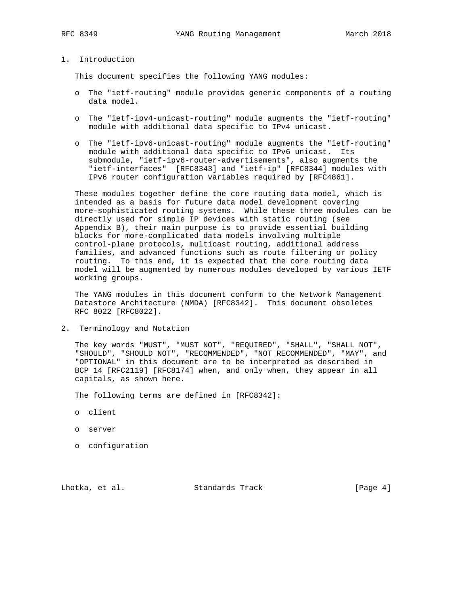# 1. Introduction

This document specifies the following YANG modules:

- o The "ietf-routing" module provides generic components of a routing data model.
- o The "ietf-ipv4-unicast-routing" module augments the "ietf-routing" module with additional data specific to IPv4 unicast.
- o The "ietf-ipv6-unicast-routing" module augments the "ietf-routing" module with additional data specific to IPv6 unicast. Its submodule, "ietf-ipv6-router-advertisements", also augments the "ietf-interfaces" [RFC8343] and "ietf-ip" [RFC8344] modules with IPv6 router configuration variables required by [RFC4861].

 These modules together define the core routing data model, which is intended as a basis for future data model development covering more-sophisticated routing systems. While these three modules can be directly used for simple IP devices with static routing (see Appendix B), their main purpose is to provide essential building blocks for more-complicated data models involving multiple control-plane protocols, multicast routing, additional address families, and advanced functions such as route filtering or policy routing. To this end, it is expected that the core routing data model will be augmented by numerous modules developed by various IETF working groups.

 The YANG modules in this document conform to the Network Management Datastore Architecture (NMDA) [RFC8342]. This document obsoletes RFC 8022 [RFC8022].

2. Terminology and Notation

 The key words "MUST", "MUST NOT", "REQUIRED", "SHALL", "SHALL NOT", "SHOULD", "SHOULD NOT", "RECOMMENDED", "NOT RECOMMENDED", "MAY", and "OPTIONAL" in this document are to be interpreted as described in BCP 14 [RFC2119] [RFC8174] when, and only when, they appear in all capitals, as shown here.

The following terms are defined in [RFC8342]:

- o client
- o server
- o configuration

Lhotka, et al. Standards Track [Page 4]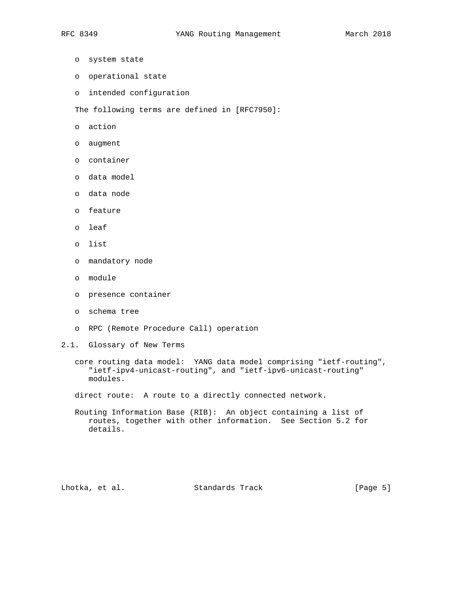- o system state
- o operational state
- o intended configuration

The following terms are defined in [RFC7950]:

- o action
- o augment
- o container
- o data model
- o data node
- o feature
- o leaf
- o list
- o mandatory node
- o module
- o presence container
- o schema tree
- o RPC (Remote Procedure Call) operation
- 2.1. Glossary of New Terms
	- core routing data model: YANG data model comprising "ietf-routing", "ietf-ipv4-unicast-routing", and "ietf-ipv6-unicast-routing" modules.

direct route: A route to a directly connected network.

 Routing Information Base (RIB): An object containing a list of routes, together with other information. See Section 5.2 for details.

Lhotka, et al. Standards Track [Page 5]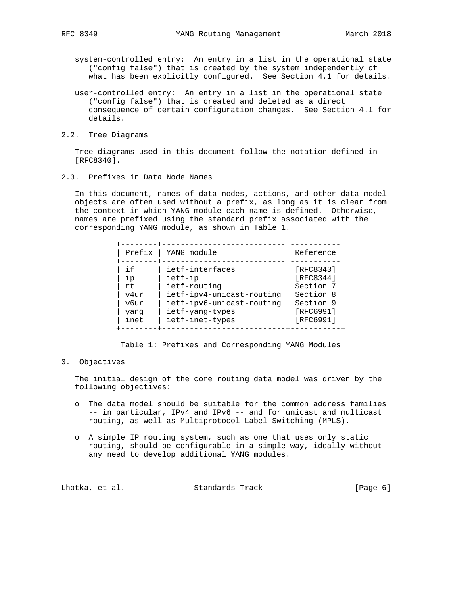- system-controlled entry: An entry in a list in the operational state ("config false") that is created by the system independently of what has been explicitly configured. See Section 4.1 for details.
- user-controlled entry: An entry in a list in the operational state ("config false") that is created and deleted as a direct consequence of certain configuration changes. See Section 4.1 for details.
- 2.2. Tree Diagrams

 Tree diagrams used in this document follow the notation defined in [RFC8340].

2.3. Prefixes in Data Node Names

 In this document, names of data nodes, actions, and other data model objects are often used without a prefix, as long as it is clear from the context in which YANG module each name is defined. Otherwise, names are prefixed using the standard prefix associated with the corresponding YANG module, as shown in Table 1.

| Prefix                                           |
|--------------------------------------------------|
| i f<br>ip<br>rt.<br>v4ur<br>vбur<br>yang<br>inet |

Table 1: Prefixes and Corresponding YANG Modules

#### 3. Objectives

 The initial design of the core routing data model was driven by the following objectives:

- o The data model should be suitable for the common address families -- in particular, IPv4 and IPv6 -- and for unicast and multicast routing, as well as Multiprotocol Label Switching (MPLS).
- o A simple IP routing system, such as one that uses only static routing, should be configurable in a simple way, ideally without any need to develop additional YANG modules.

|  | [Page 6] |
|--|----------|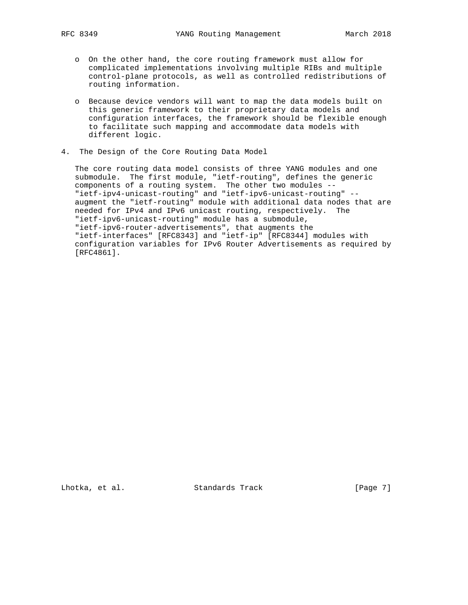- o On the other hand, the core routing framework must allow for complicated implementations involving multiple RIBs and multiple control-plane protocols, as well as controlled redistributions of routing information.
- o Because device vendors will want to map the data models built on this generic framework to their proprietary data models and configuration interfaces, the framework should be flexible enough to facilitate such mapping and accommodate data models with different logic.
- 4. The Design of the Core Routing Data Model

 The core routing data model consists of three YANG modules and one submodule. The first module, "ietf-routing", defines the generic components of a routing system. The other two modules -- "ietf-ipv4-unicast-routing" and "ietf-ipv6-unicast-routing" - augment the "ietf-routing" module with additional data nodes that are needed for IPv4 and IPv6 unicast routing, respectively. The "ietf-ipv6-unicast-routing" module has a submodule, "ietf-ipv6-router-advertisements", that augments the "ietf-interfaces" [RFC8343] and "ietf-ip" [RFC8344] modules with configuration variables for IPv6 Router Advertisements as required by [RFC4861].

Lhotka, et al. Standards Track [Page 7]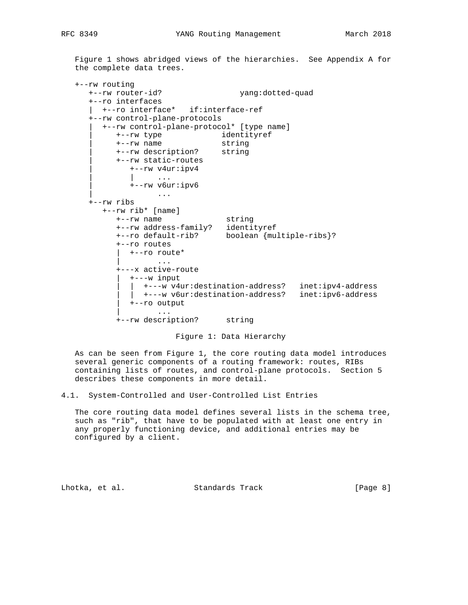Figure 1 shows abridged views of the hierarchies. See Appendix A for the complete data trees.

```
 +--rw routing
     +--rw router-id? yang:dotted-quad
      +--ro interfaces
      | +--ro interface* if:interface-ref
      +--rw control-plane-protocols
       | +--rw control-plane-protocol* [type name]
 | +--rw type identityref
 | +--rw name string
           | +--rw description? string
           | +--rw static-routes
              | +--rw v4ur:ipv4
                  | | ...
             | +--rw v6ur:ipv6
                  | ...
      +--rw ribs
 +--rw rib* [name]
 +--rw name string
           +--rw address-family? identityref
           +--ro default-rib? boolean {multiple-ribs}?
           +--ro routes
             | +--ro route*
 | ...
           +---x active-route
              | +---w input
               | | +---w v4ur:destination-address? inet:ipv4-address
              | | +---w v6ur:destination-address? inet:ipv6-address
             | +--ro output
             | ...
           +--rw description? string
```
Figure 1: Data Hierarchy

 As can be seen from Figure 1, the core routing data model introduces several generic components of a routing framework: routes, RIBs containing lists of routes, and control-plane protocols. Section 5 describes these components in more detail.

4.1. System-Controlled and User-Controlled List Entries

 The core routing data model defines several lists in the schema tree, such as "rib", that have to be populated with at least one entry in any properly functioning device, and additional entries may be configured by a client.

Lhotka, et al. Standards Track [Page 8]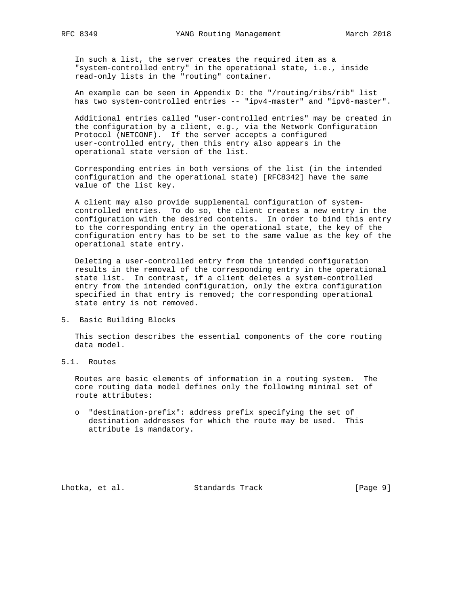In such a list, the server creates the required item as a "system-controlled entry" in the operational state, i.e., inside read-only lists in the "routing" container.

 An example can be seen in Appendix D: the "/routing/ribs/rib" list has two system-controlled entries -- "ipv4-master" and "ipv6-master".

 Additional entries called "user-controlled entries" may be created in the configuration by a client, e.g., via the Network Configuration Protocol (NETCONF). If the server accepts a configured user-controlled entry, then this entry also appears in the operational state version of the list.

 Corresponding entries in both versions of the list (in the intended configuration and the operational state) [RFC8342] have the same value of the list key.

 A client may also provide supplemental configuration of system controlled entries. To do so, the client creates a new entry in the configuration with the desired contents. In order to bind this entry to the corresponding entry in the operational state, the key of the configuration entry has to be set to the same value as the key of the operational state entry.

 Deleting a user-controlled entry from the intended configuration results in the removal of the corresponding entry in the operational state list. In contrast, if a client deletes a system-controlled entry from the intended configuration, only the extra configuration specified in that entry is removed; the corresponding operational state entry is not removed.

5. Basic Building Blocks

 This section describes the essential components of the core routing data model.

5.1. Routes

 Routes are basic elements of information in a routing system. The core routing data model defines only the following minimal set of route attributes:

 o "destination-prefix": address prefix specifying the set of destination addresses for which the route may be used. This attribute is mandatory.

Lhotka, et al. Standards Track [Page 9]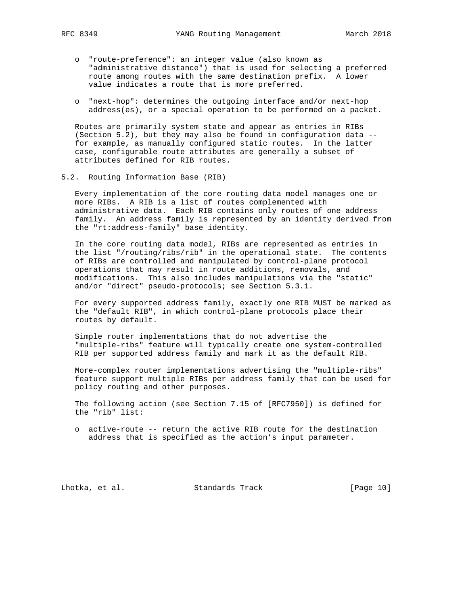- - o "route-preference": an integer value (also known as "administrative distance") that is used for selecting a preferred route among routes with the same destination prefix. A lower value indicates a route that is more preferred.
	- o "next-hop": determines the outgoing interface and/or next-hop address(es), or a special operation to be performed on a packet.

 Routes are primarily system state and appear as entries in RIBs (Section 5.2), but they may also be found in configuration data - for example, as manually configured static routes. In the latter case, configurable route attributes are generally a subset of attributes defined for RIB routes.

5.2. Routing Information Base (RIB)

 Every implementation of the core routing data model manages one or more RIBs. A RIB is a list of routes complemented with administrative data. Each RIB contains only routes of one address family. An address family is represented by an identity derived from the "rt:address-family" base identity.

 In the core routing data model, RIBs are represented as entries in the list "/routing/ribs/rib" in the operational state. The contents of RIBs are controlled and manipulated by control-plane protocol operations that may result in route additions, removals, and modifications. This also includes manipulations via the "static" and/or "direct" pseudo-protocols; see Section 5.3.1.

 For every supported address family, exactly one RIB MUST be marked as the "default RIB", in which control-plane protocols place their routes by default.

 Simple router implementations that do not advertise the "multiple-ribs" feature will typically create one system-controlled RIB per supported address family and mark it as the default RIB.

 More-complex router implementations advertising the "multiple-ribs" feature support multiple RIBs per address family that can be used for policy routing and other purposes.

 The following action (see Section 7.15 of [RFC7950]) is defined for the "rib" list:

 o active-route -- return the active RIB route for the destination address that is specified as the action's input parameter.

Lhotka, et al. Standards Track [Page 10]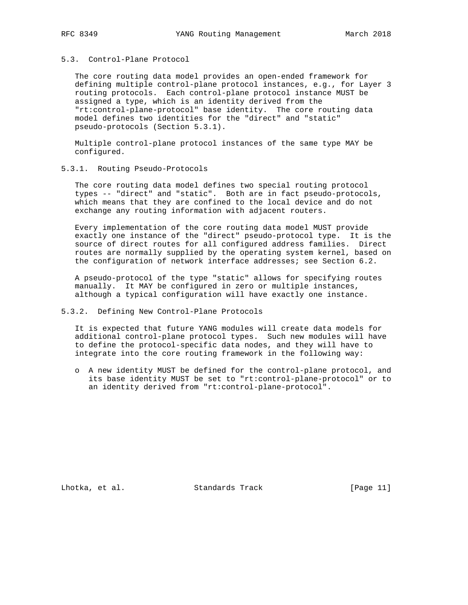## 5.3. Control-Plane Protocol

 The core routing data model provides an open-ended framework for defining multiple control-plane protocol instances, e.g., for Layer 3 routing protocols. Each control-plane protocol instance MUST be assigned a type, which is an identity derived from the "rt:control-plane-protocol" base identity. The core routing data model defines two identities for the "direct" and "static" pseudo-protocols (Section 5.3.1).

 Multiple control-plane protocol instances of the same type MAY be configured.

### 5.3.1. Routing Pseudo-Protocols

 The core routing data model defines two special routing protocol types -- "direct" and "static". Both are in fact pseudo-protocols, which means that they are confined to the local device and do not exchange any routing information with adjacent routers.

 Every implementation of the core routing data model MUST provide exactly one instance of the "direct" pseudo-protocol type. It is the source of direct routes for all configured address families. Direct routes are normally supplied by the operating system kernel, based on the configuration of network interface addresses; see Section 6.2.

 A pseudo-protocol of the type "static" allows for specifying routes manually. It MAY be configured in zero or multiple instances, although a typical configuration will have exactly one instance.

### 5.3.2. Defining New Control-Plane Protocols

 It is expected that future YANG modules will create data models for additional control-plane protocol types. Such new modules will have to define the protocol-specific data nodes, and they will have to integrate into the core routing framework in the following way:

 o A new identity MUST be defined for the control-plane protocol, and its base identity MUST be set to "rt:control-plane-protocol" or to an identity derived from "rt:control-plane-protocol".

Lhotka, et al. Standards Track [Page 11]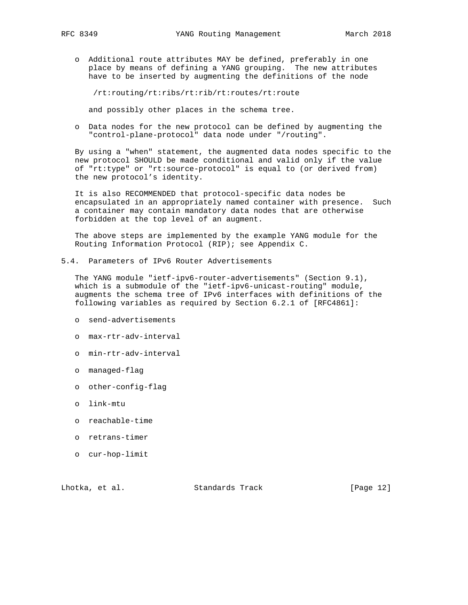o Additional route attributes MAY be defined, preferably in one place by means of defining a YANG grouping. The new attributes have to be inserted by augmenting the definitions of the node

/rt:routing/rt:ribs/rt:rib/rt:routes/rt:route

and possibly other places in the schema tree.

 o Data nodes for the new protocol can be defined by augmenting the "control-plane-protocol" data node under "/routing".

 By using a "when" statement, the augmented data nodes specific to the new protocol SHOULD be made conditional and valid only if the value of "rt:type" or "rt:source-protocol" is equal to (or derived from) the new protocol's identity.

 It is also RECOMMENDED that protocol-specific data nodes be encapsulated in an appropriately named container with presence. Such a container may contain mandatory data nodes that are otherwise forbidden at the top level of an augment.

 The above steps are implemented by the example YANG module for the Routing Information Protocol (RIP); see Appendix C.

5.4. Parameters of IPv6 Router Advertisements

 The YANG module "ietf-ipv6-router-advertisements" (Section 9.1), which is a submodule of the "ietf-ipv6-unicast-routing" module, augments the schema tree of IPv6 interfaces with definitions of the following variables as required by Section 6.2.1 of [RFC4861]:

- o send-advertisements
- o max-rtr-adv-interval
- o min-rtr-adv-interval
- o managed-flag
- o other-config-flag
- o link-mtu
- o reachable-time
- o retrans-timer
- o cur-hop-limit

Lhotka, et al. Standards Track [Page 12]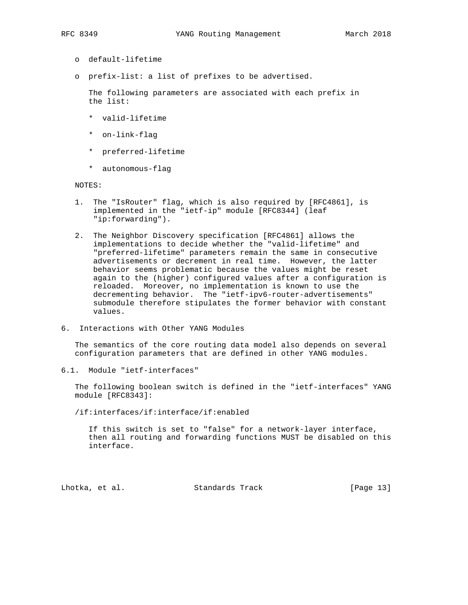- o default-lifetime
- o prefix-list: a list of prefixes to be advertised.

 The following parameters are associated with each prefix in the list:

- \* valid-lifetime
- \* on-link-flag
- \* preferred-lifetime
- \* autonomous-flag

NOTES:

- 1. The "IsRouter" flag, which is also required by [RFC4861], is implemented in the "ietf-ip" module [RFC8344] (leaf "ip:forwarding").
- 2. The Neighbor Discovery specification [RFC4861] allows the implementations to decide whether the "valid-lifetime" and "preferred-lifetime" parameters remain the same in consecutive advertisements or decrement in real time. However, the latter behavior seems problematic because the values might be reset again to the (higher) configured values after a configuration is reloaded. Moreover, no implementation is known to use the decrementing behavior. The "ietf-ipv6-router-advertisements" submodule therefore stipulates the former behavior with constant values.
- 6. Interactions with Other YANG Modules

 The semantics of the core routing data model also depends on several configuration parameters that are defined in other YANG modules.

6.1. Module "ietf-interfaces"

 The following boolean switch is defined in the "ietf-interfaces" YANG module [RFC8343]:

/if:interfaces/if:interface/if:enabled

 If this switch is set to "false" for a network-layer interface, then all routing and forwarding functions MUST be disabled on this interface.

Lhotka, et al. Standards Track [Page 13]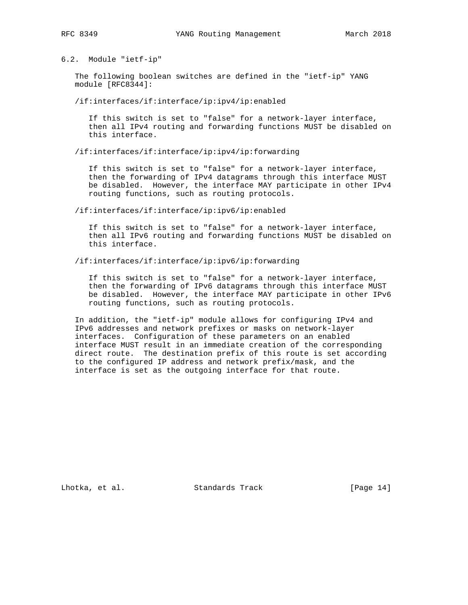6.2. Module "ietf-ip"

 The following boolean switches are defined in the "ietf-ip" YANG module [RFC8344]:

/if:interfaces/if:interface/ip:ipv4/ip:enabled

 If this switch is set to "false" for a network-layer interface, then all IPv4 routing and forwarding functions MUST be disabled on this interface.

/if:interfaces/if:interface/ip:ipv4/ip:forwarding

 If this switch is set to "false" for a network-layer interface, then the forwarding of IPv4 datagrams through this interface MUST be disabled. However, the interface MAY participate in other IPv4 routing functions, such as routing protocols.

/if:interfaces/if:interface/ip:ipv6/ip:enabled

 If this switch is set to "false" for a network-layer interface, then all IPv6 routing and forwarding functions MUST be disabled on this interface.

/if:interfaces/if:interface/ip:ipv6/ip:forwarding

 If this switch is set to "false" for a network-layer interface, then the forwarding of IPv6 datagrams through this interface MUST be disabled. However, the interface MAY participate in other IPv6 routing functions, such as routing protocols.

 In addition, the "ietf-ip" module allows for configuring IPv4 and IPv6 addresses and network prefixes or masks on network-layer interfaces. Configuration of these parameters on an enabled interface MUST result in an immediate creation of the corresponding direct route. The destination prefix of this route is set according to the configured IP address and network prefix/mask, and the interface is set as the outgoing interface for that route.

Lhotka, et al. Standards Track [Page 14]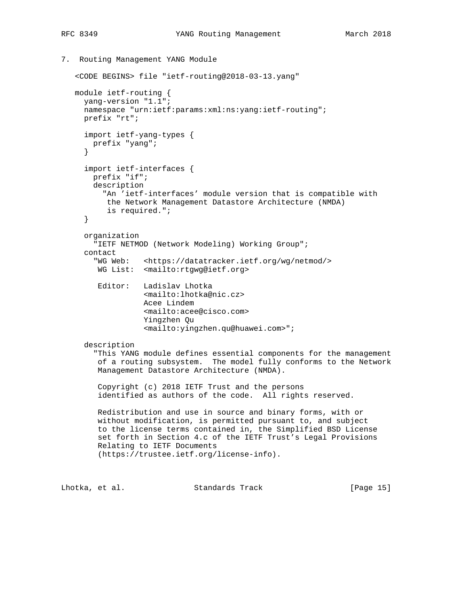7. Routing Management YANG Module

```
 <CODE BEGINS> file "ietf-routing@2018-03-13.yang"
   module ietf-routing {
     yang-version "1.1";
     namespace "urn:ietf:params:xml:ns:yang:ietf-routing";
     prefix "rt";
      import ietf-yang-types {
       prefix "yang";
      }
      import ietf-interfaces {
       prefix "if";
       description
          "An 'ietf-interfaces' module version that is compatible with
          the Network Management Datastore Architecture (NMDA)
          is required.";
      }
     organization
        "IETF NETMOD (Network Modeling) Working Group";
      contact
        "WG Web: <https://datatracker.ietf.org/wg/netmod/>
        WG List: <mailto:rtgwg@ietf.org>
        Editor: Ladislav Lhotka
                   <mailto:lhotka@nic.cz>
                  Acee Lindem
                   <mailto:acee@cisco.com>
                   Yingzhen Qu
                   <mailto:yingzhen.qu@huawei.com>";
      description
        "This YANG module defines essential components for the management
        of a routing subsystem. The model fully conforms to the Network
        Management Datastore Architecture (NMDA).
        Copyright (c) 2018 IETF Trust and the persons
         identified as authors of the code. All rights reserved.
        Redistribution and use in source and binary forms, with or
        without modification, is permitted pursuant to, and subject
        to the license terms contained in, the Simplified BSD License
        set forth in Section 4.c of the IETF Trust's Legal Provisions
        Relating to IETF Documents
         (https://trustee.ietf.org/license-info).
Lhotka, et al. Standards Track [Page 15]
```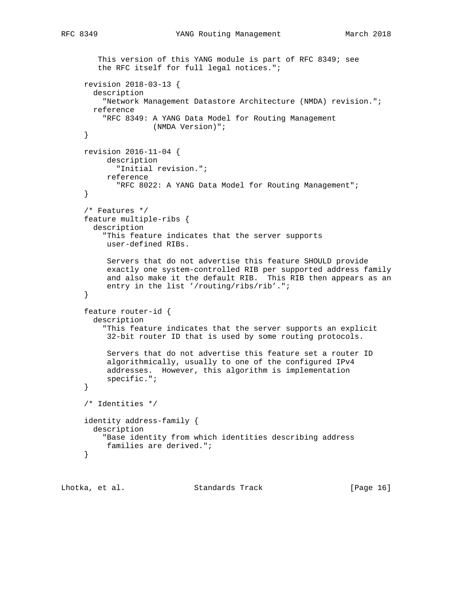```
 This version of this YANG module is part of RFC 8349; see
    the RFC itself for full legal notices.";
 revision 2018-03-13 {
   description
     "Network Management Datastore Architecture (NMDA) revision.";
  reference
     "RFC 8349: A YANG Data Model for Routing Management
               (NMDA Version)";
 }
 revision 2016-11-04 {
     description
       "Initial revision.";
     reference
        "RFC 8022: A YANG Data Model for Routing Management";
 }
 /* Features */
 feature multiple-ribs {
   description
     "This feature indicates that the server supports
     user-defined RIBs.
      Servers that do not advertise this feature SHOULD provide
      exactly one system-controlled RIB per supported address family
      and also make it the default RIB. This RIB then appears as an
      entry in the list '/routing/ribs/rib'.";
 }
 feature router-id {
   description
     "This feature indicates that the server supports an explicit
     32-bit router ID that is used by some routing protocols.
      Servers that do not advertise this feature set a router ID
      algorithmically, usually to one of the configured IPv4
      addresses. However, this algorithm is implementation
      specific.";
 }
 /* Identities */
 identity address-family {
  description
     "Base identity from which identities describing address
     families are derived.";
 }
```
Lhotka, et al. Standards Track [Page 16]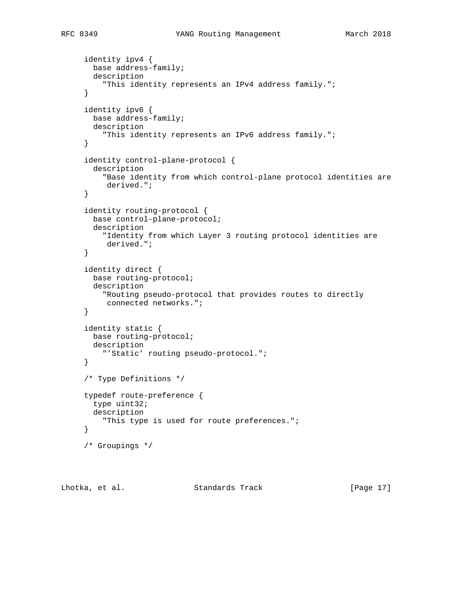```
 identity ipv4 {
   base address-family;
   description
     "This identity represents an IPv4 address family.";
 }
 identity ipv6 {
  base address-family;
   description
     "This identity represents an IPv6 address family.";
 }
 identity control-plane-protocol {
   description
     "Base identity from which control-plane protocol identities are
      derived.";
 }
 identity routing-protocol {
   base control-plane-protocol;
   description
     "Identity from which Layer 3 routing protocol identities are
     derived.";
 }
 identity direct {
  base routing-protocol;
   description
     "Routing pseudo-protocol that provides routes to directly
     connected networks.";
 }
 identity static {
   base routing-protocol;
   description
     "'Static' routing pseudo-protocol.";
 }
 /* Type Definitions */
 typedef route-preference {
   type uint32;
   description
     "This type is used for route preferences.";
 }
 /* Groupings */
```
Lhotka, et al. Standards Track [Page 17]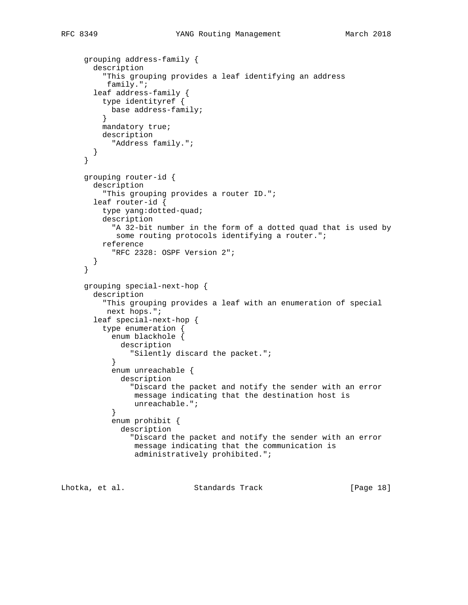```
 grouping address-family {
       description
          "This grouping provides a leaf identifying an address
          family.";
        leaf address-family {
          type identityref {
           base address-family;
          }
         mandatory true;
         description
            "Address family.";
       }
      }
     grouping router-id {
       description
          "This grouping provides a router ID.";
       leaf router-id {
         type yang:dotted-quad;
          description
            "A 32-bit number in the form of a dotted quad that is used by
            some routing protocols identifying a router.";
          reference
            "RFC 2328: OSPF Version 2";
        }
      }
      grouping special-next-hop {
       description
          "This grouping provides a leaf with an enumeration of special
          next hops.";
        leaf special-next-hop {
          type enumeration {
            enum blackhole {
             description
                "Silently discard the packet.";
 }
            enum unreachable {
              description
                "Discard the packet and notify the sender with an error
                message indicating that the destination host is
                unreachable.";
 }
            enum prohibit {
              description
                "Discard the packet and notify the sender with an error
                message indicating that the communication is
                 administratively prohibited.";
```
Lhotka, et al. Standards Track [Page 18]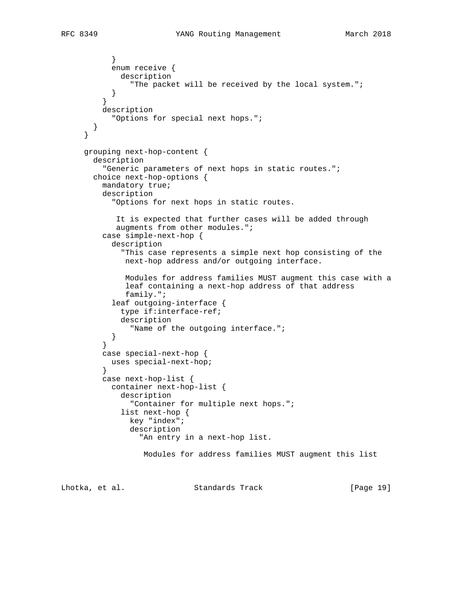```
 enum receive {
   description
     "The packet will be received by the local system.";
```

```
 }
 }
          description
           "Options for special next hops.";
        }
      }
     grouping next-hop-content {
       description
          "Generic parameters of next hops in static routes.";
       choice next-hop-options {
          mandatory true;
          description
            "Options for next hops in static routes.
             It is expected that further cases will be added through
             augments from other modules.";
          case simple-next-hop {
            description
              "This case represents a simple next hop consisting of the
               next-hop address and/or outgoing interface.
               Modules for address families MUST augment this case with a
               leaf containing a next-hop address of that address
               family.";
            leaf outgoing-interface {
              type if:interface-ref;
              description
                "Name of the outgoing interface.";
         \begin{matrix} \end{matrix} }
          case special-next-hop {
           uses special-next-hop;
 }
          case next-hop-list {
           container next-hop-list {
              description
                "Container for multiple next hops.";
              list next-hop {
                key "index";
                description
                  "An entry in a next-hop list.
                   Modules for address families MUST augment this list
```
Lhotka, et al. Standards Track [Page 19]

}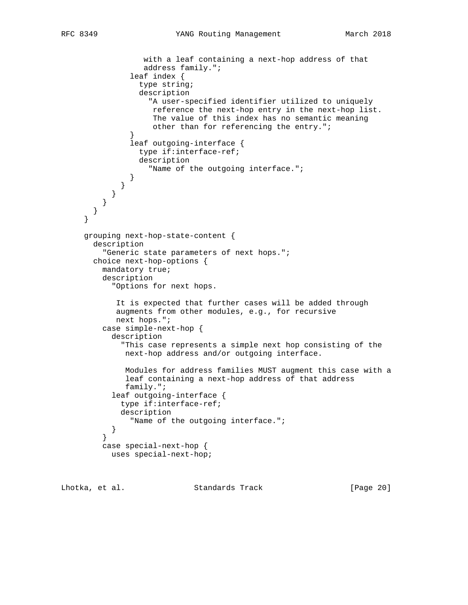```
 with a leaf containing a next-hop address of that
                  address family.";
               leaf index {
                 type string;
                 description
                   "A user-specified identifier utilized to uniquely
                    reference the next-hop entry in the next-hop list.
                    The value of this index has no semantic meaning
                    other than for referencing the entry.";
 }
               leaf outgoing-interface {
                 type if:interface-ref;
                 description
                   "Name of the outgoing interface.";
 }
 }
 }
 }
       }
     }
     grouping next-hop-state-content {
       description
         "Generic state parameters of next hops.";
       choice next-hop-options {
         mandatory true;
         description
           "Options for next hops.
            It is expected that further cases will be added through
            augments from other modules, e.g., for recursive
            next hops.";
         case simple-next-hop {
           description
             "This case represents a simple next hop consisting of the
              next-hop address and/or outgoing interface.
              Modules for address families MUST augment this case with a
              leaf containing a next-hop address of that address
              family.";
           leaf outgoing-interface {
             type if:interface-ref;
             description
               "Name of the outgoing interface.";
           }
         }
         case special-next-hop {
           uses special-next-hop;
```
Lhotka, et al. Standards Track [Page 20]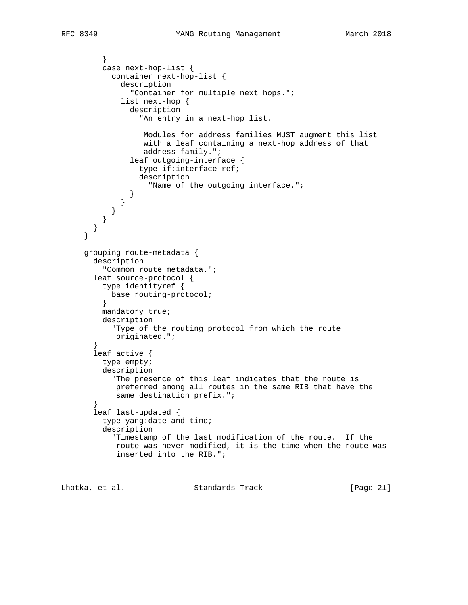```
 }
          case next-hop-list {
            container next-hop-list {
              description
                "Container for multiple next hops.";
              list next-hop {
                description
                  "An entry in a next-hop list.
                   Modules for address families MUST augment this list
                   with a leaf containing a next-hop address of that
                   address family.";
                leaf outgoing-interface {
                  type if:interface-ref;
                  description
                    "Name of the outgoing interface.";
 }
             }
           }
         }
       }
     }
     grouping route-metadata {
       description
          "Common route metadata.";
        leaf source-protocol {
         type identityref {
           base routing-protocol;
          }
         mandatory true;
          description
            "Type of the routing protocol from which the route
            originated.";
        }
        leaf active {
         type empty;
          description
           "The presence of this leaf indicates that the route is
             preferred among all routes in the same RIB that have the
             same destination prefix.";
        }
        leaf last-updated {
          type yang:date-and-time;
          description
            "Timestamp of the last modification of the route. If the
            route was never modified, it is the time when the route was
             inserted into the RIB.";
```
Lhotka, et al. Standards Track [Page 21]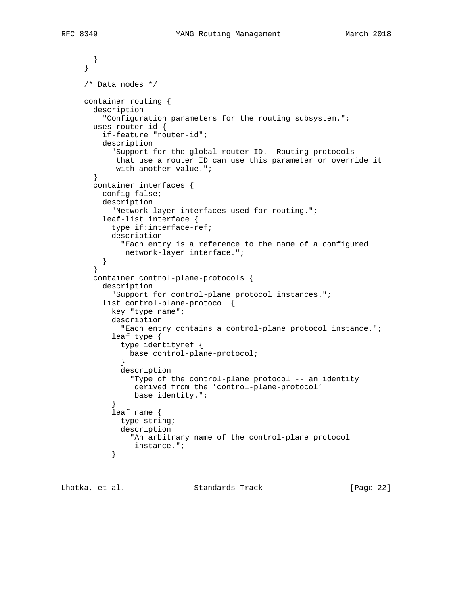```
 }
     }
     /* Data nodes */
     container routing {
       description
          "Configuration parameters for the routing subsystem.";
       uses router-id {
         if-feature "router-id";
         description
            "Support for the global router ID. Routing protocols
            that use a router ID can use this parameter or override it
            with another value.";
        }
       container interfaces {
         config false;
         description
           "Network-layer interfaces used for routing.";
         leaf-list interface {
           type if:interface-ref;
           description
              "Each entry is a reference to the name of a configured
              network-layer interface.";
 }
        }
       container control-plane-protocols {
         description
            "Support for control-plane protocol instances.";
         list control-plane-protocol {
           key "type name";
           description
              "Each entry contains a control-plane protocol instance.";
            leaf type {
             type identityref {
               base control-plane-protocol;
 }
             description
                "Type of the control-plane protocol -- an identity
                derived from the 'control-plane-protocol'
                base identity.";
 }
            leaf name {
             type string;
             description
                "An arbitrary name of the control-plane protocol
           instance.";<br>}
 }
```
Lhotka, et al. Standards Track [Page 22]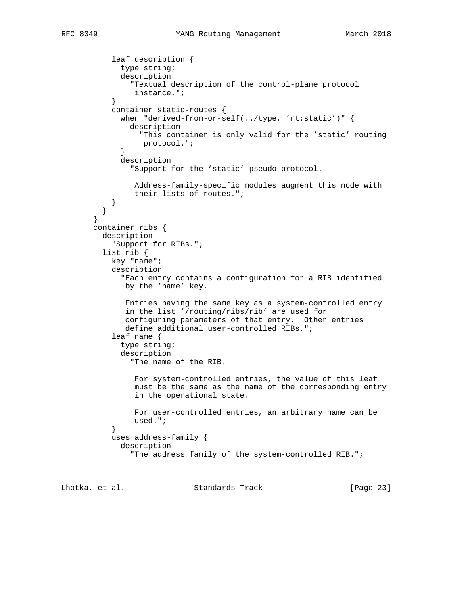```
 leaf description {
             type string;
             description
                "Textual description of the control-plane protocol
                 instance.";
 }
           container static-routes {
             when "derived-from-or-self(../type, 'rt:static')" {
                description
                  "This container is only valid for the 'static' routing
             protocol.";<br>}
 }
             description
                "Support for the 'static' pseudo-protocol.
                Address-family-specific modules augment this node with
                their lists of routes.";
           }
         }
        }
       container ribs {
         description
            "Support for RIBs.";
         list rib {
           key "name";
           description
              "Each entry contains a configuration for a RIB identified
              by the 'name' key.
               Entries having the same key as a system-controlled entry
               in the list '/routing/ribs/rib' are used for
               configuring parameters of that entry. Other entries
               define additional user-controlled RIBs.";
            leaf name {
             type string;
             description
                "The name of the RIB.
                 For system-controlled entries, the value of this leaf
                 must be the same as the name of the corresponding entry
                 in the operational state.
                For user-controlled entries, an arbitrary name can be
           used.";<br>}
 }
           uses address-family {
             description
                "The address family of the system-controlled RIB.";
```
Lhotka, et al. Standards Track [Page 23]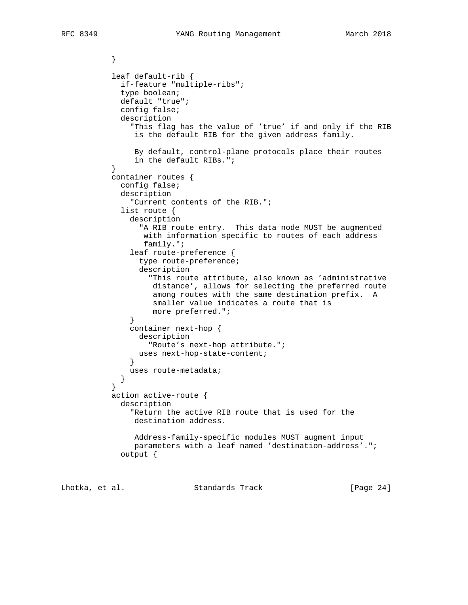```
 }
           leaf default-rib {
             if-feature "multiple-ribs";
             type boolean;
             default "true";
             config false;
             description
               "This flag has the value of 'true' if and only if the RIB
                is the default RIB for the given address family.
                By default, control-plane protocols place their routes
          in the default RIBs.";<br>}
 }
           container routes {
             config false;
             description
               "Current contents of the RIB.";
             list route {
               description
                 "A RIB route entry. This data node MUST be augmented
                  with information specific to routes of each address
                  family.";
               leaf route-preference {
                 type route-preference;
                 description
                   "This route attribute, also known as 'administrative
                    distance', allows for selecting the preferred route
                    among routes with the same destination prefix. A
                    smaller value indicates a route that is
                    more preferred.";
 }
               container next-hop {
                 description
                   "Route's next-hop attribute.";
              uses next-hop-state-content;<br>}
 }
            uses route-metadata;<br>}
 }
 }
           action active-route {
             description
               "Return the active RIB route that is used for the
                destination address.
                Address-family-specific modules MUST augment input
                parameters with a leaf named 'destination-address'.";
             output {
```
Lhotka, et al. Standards Track [Page 24]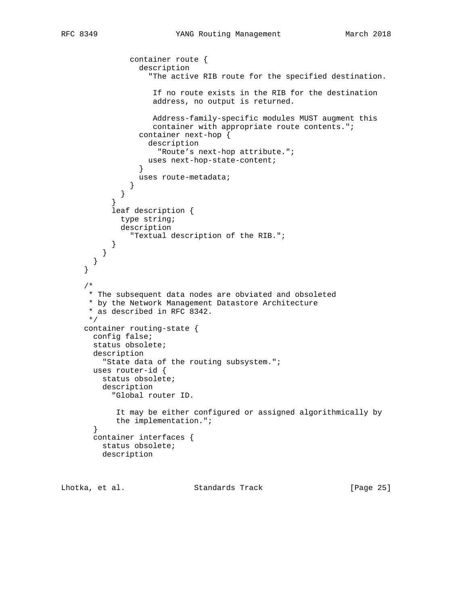```
 container route {
                 description
                    "The active RIB route for the specified destination.
                     If no route exists in the RIB for the destination
                    address, no output is returned.
                    Address-family-specific modules MUST augment this
                    container with appropriate route contents.";
                 container next-hop {
                   description
                     "Route's next-hop attribute.";
                uses next-hop-state-content;<br>}
 }
                 uses route-metadata;
 }
 }
 }
           leaf description {
             type string;
             description
                "Textual description of the RIB.";
           }
         }
       }
     }
     /*
      * The subsequent data nodes are obviated and obsoleted
      * by the Network Management Datastore Architecture
      * as described in RFC 8342.
      */
     container routing-state {
       config false;
       status obsolete;
       description
         "State data of the routing subsystem.";
       uses router-id {
         status obsolete;
         description
           "Global router ID.
            It may be either configured or assigned algorithmically by
            the implementation.";
       }
       container interfaces {
         status obsolete;
         description
```
Lhotka, et al. Standards Track [Page 25]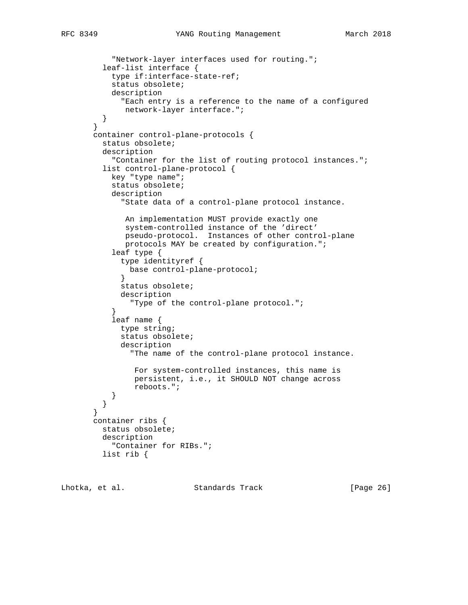```
 "Network-layer interfaces used for routing.";
          leaf-list interface {
           type if:interface-state-ref;
           status obsolete;
           description
              "Each entry is a reference to the name of a configured
              network-layer interface.";
          }
        }
       container control-plane-protocols {
          status obsolete;
         description
            "Container for the list of routing protocol instances.";
          list control-plane-protocol {
           key "type name";
            status obsolete;
            description
              "State data of a control-plane protocol instance.
               An implementation MUST provide exactly one
               system-controlled instance of the 'direct'
              pseudo-protocol. Instances of other control-plane
              protocols MAY be created by configuration.";
            leaf type {
              type identityref {
             base control-plane-protocol;<br>}
 }
              status obsolete;
              description
                "Type of the control-plane protocol.";
 }
            leaf name {
             type string;
              status obsolete;
              description
                "The name of the control-plane protocol instance.
                 For system-controlled instances, this name is
                 persistent, i.e., it SHOULD NOT change across
                 reboots.";
           }
          }
        }
       container ribs {
         status obsolete;
         description
            "Container for RIBs.";
         list rib {
```
Lhotka, et al. Standards Track [Page 26]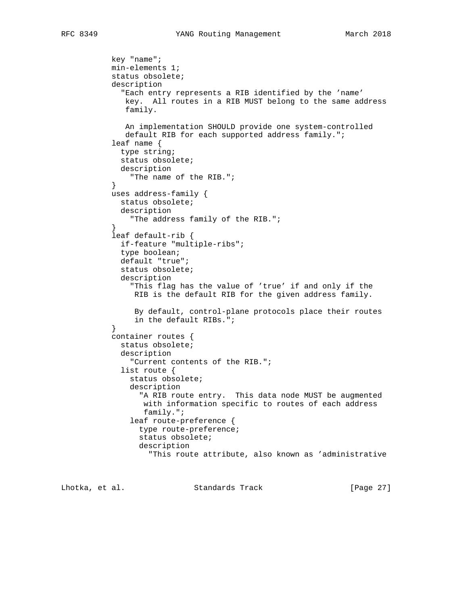```
 key "name";
           min-elements 1;
           status obsolete;
           description
              "Each entry represents a RIB identified by the 'name'
              key. All routes in a RIB MUST belong to the same address
              family.
              An implementation SHOULD provide one system-controlled
              default RIB for each supported address family.";
            leaf name {
             type string;
              status obsolete;
             description
               "The name of the RIB.";
 }
           uses address-family {
             status obsolete;
             description
               "The address family of the RIB.";
 }
           leaf default-rib {
             if-feature "multiple-ribs";
             type boolean;
              default "true";
              status obsolete;
              description
                "This flag has the value of 'true' if and only if the
                RIB is the default RIB for the given address family.
                 By default, control-plane protocols place their routes
           in the default RIBs.";<br>}
 }
           container routes {
             status obsolete;
              description
               "Current contents of the RIB.";
              list route {
                status obsolete;
                description
                  "A RIB route entry. This data node MUST be augmented
                  with information specific to routes of each address
                  family.";
                leaf route-preference {
                  type route-preference;
                  status obsolete;
                  description
                    "This route attribute, also known as 'administrative
```
Lhotka, et al. Standards Track [Page 27]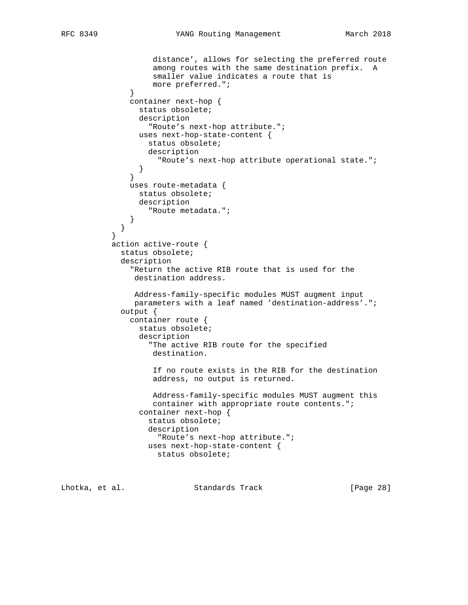```
 distance', allows for selecting the preferred route
                    among routes with the same destination prefix. A
                    smaller value indicates a route that is
                    more preferred.";
 }
               container next-hop {
                 status obsolete;
                 description
                   "Route's next-hop attribute.";
                 uses next-hop-state-content {
                  status obsolete;
                  description
                 "Route's next-hop attribute operational state.";
 }
 }
               uses route-metadata {
                status obsolete;
                description
                   "Route metadata.";
 }
 }
 }
           action active-route {
             status obsolete;
             description
               "Return the active RIB route that is used for the
                destination address.
                Address-family-specific modules MUST augment input
                parameters with a leaf named 'destination-address'.";
             output {
               container route {
                 status obsolete;
                 description
                   "The active RIB route for the specified
                    destination.
                    If no route exists in the RIB for the destination
                    address, no output is returned.
                    Address-family-specific modules MUST augment this
                   container with appropriate route contents.";
                 container next-hop {
                   status obsolete;
                   description
                     "Route's next-hop attribute.";
                   uses next-hop-state-content {
                     status obsolete;
```
Lhotka, et al. Standards Track [Page 28]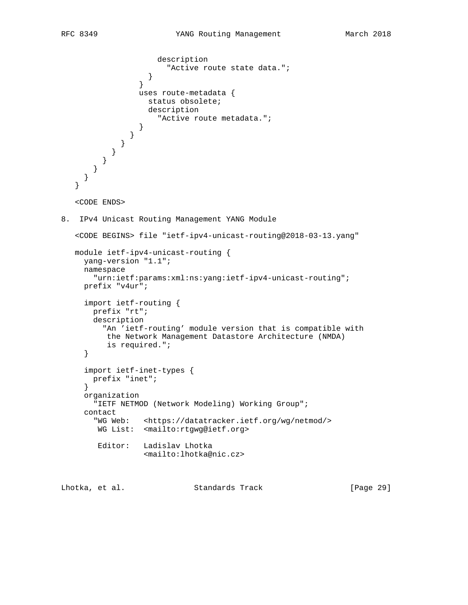```
 description
                 "Active route state data.";<br>}
 }
 }
                uses route-metadata {
                 status obsolete;
                  description
                    "Active route metadata.";
 }
 }
 }
 }
 }
 }
     }
   }
   <CODE ENDS>
8. IPv4 Unicast Routing Management YANG Module
   <CODE BEGINS> file "ietf-ipv4-unicast-routing@2018-03-13.yang"
   module ietf-ipv4-unicast-routing {
     yang-version "1.1";
     namespace
       "urn:ietf:params:xml:ns:yang:ietf-ipv4-unicast-routing";
     prefix "v4ur";
     import ietf-routing {
       prefix "rt";
       description
         "An 'ietf-routing' module version that is compatible with
         the Network Management Datastore Architecture (NMDA)
          is required.";
     }
     import ietf-inet-types {
       prefix "inet";
     }
     organization
       "IETF NETMOD (Network Modeling) Working Group";
     contact
       "WG Web: <https://datatracker.ietf.org/wg/netmod/>
        WG List: <mailto:rtgwg@ietf.org>
        Editor: Ladislav Lhotka
                 <mailto:lhotka@nic.cz>
```
Lhotka, et al. Standards Track [Page 29]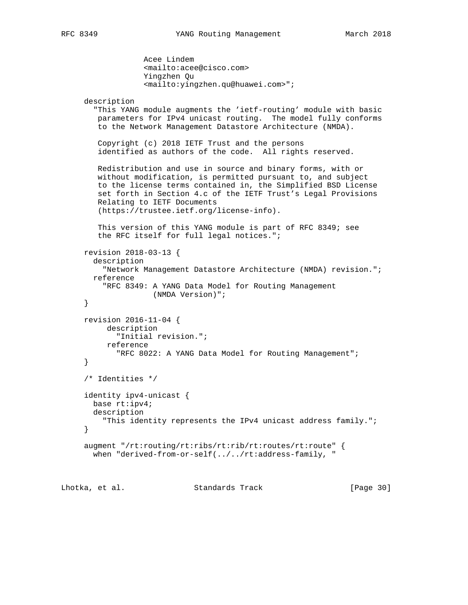```
 Acee Lindem
              <mailto:acee@cisco.com>
              Yingzhen Qu
              <mailto:yingzhen.qu@huawei.com>";
 description
   "This YANG module augments the 'ietf-routing' module with basic
   parameters for IPv4 unicast routing. The model fully conforms
    to the Network Management Datastore Architecture (NMDA).
    Copyright (c) 2018 IETF Trust and the persons
    identified as authors of the code. All rights reserved.
   Redistribution and use in source and binary forms, with or
   without modification, is permitted pursuant to, and subject
    to the license terms contained in, the Simplified BSD License
    set forth in Section 4.c of the IETF Trust's Legal Provisions
   Relating to IETF Documents
    (https://trustee.ietf.org/license-info).
    This version of this YANG module is part of RFC 8349; see
    the RFC itself for full legal notices.";
 revision 2018-03-13 {
   description
     "Network Management Datastore Architecture (NMDA) revision.";
  reference
     "RFC 8349: A YANG Data Model for Routing Management
               (NMDA Version)";
 }
 revision 2016-11-04 {
     description
        "Initial revision.";
      reference
       "RFC 8022: A YANG Data Model for Routing Management";
 }
 /* Identities */
 identity ipv4-unicast {
  base rt:ipv4;
  description
     "This identity represents the IPv4 unicast address family.";
 }
 augment "/rt:routing/rt:ribs/rt:rib/rt:routes/rt:route" {
 when "derived-from-or-self(../../rt:address-family, "
```
Lhotka, et al. Standards Track [Page 30]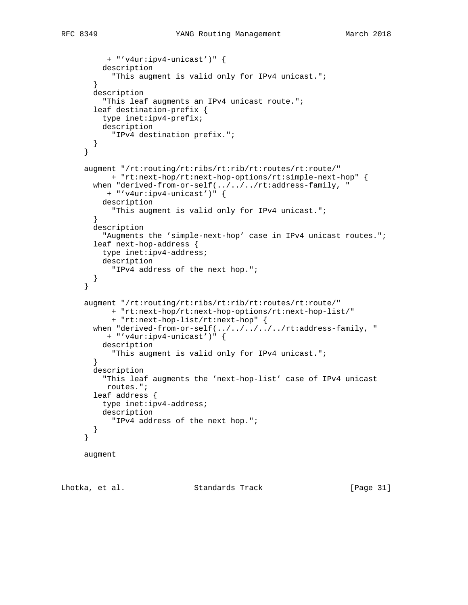```
 + "'v4ur:ipv4-unicast')" {
          description
            "This augment is valid only for IPv4 unicast.";
        }
        description
          "This leaf augments an IPv4 unicast route.";
        leaf destination-prefix {
         type inet:ipv4-prefix;
          description
            "IPv4 destination prefix.";
       }
      }
      augment "/rt:routing/rt:ribs/rt:rib/rt:routes/rt:route/"
            + "rt:next-hop/rt:next-hop-options/rt:simple-next-hop" {
      when "derived-from-or-self(../../../rt:address-family, "
          + "'v4ur:ipv4-unicast')" {
         description
            "This augment is valid only for IPv4 unicast.";
 }
        description
          "Augments the 'simple-next-hop' case in IPv4 unicast routes.";
        leaf next-hop-address {
         type inet:ipv4-address;
          description
            "IPv4 address of the next hop.";
        }
      }
      augment "/rt:routing/rt:ribs/rt:rib/rt:routes/rt:route/"
           + "rt:next-hop/rt:next-hop-options/rt:next-hop-list/"
            + "rt:next-hop-list/rt:next-hop" {
       when "derived-from-or-self(../../../../../rt:address-family, "
          + "'v4ur:ipv4-unicast')" {
         description
           "This augment is valid only for IPv4 unicast.";
        }
        description
          "This leaf augments the 'next-hop-list' case of IPv4 unicast
          routes.";
        leaf address {
         type inet:ipv4-address;
         description
           "IPv4 address of the next hop.";
        }
      }
     augment
```
Lhotka, et al. Standards Track [Page 31]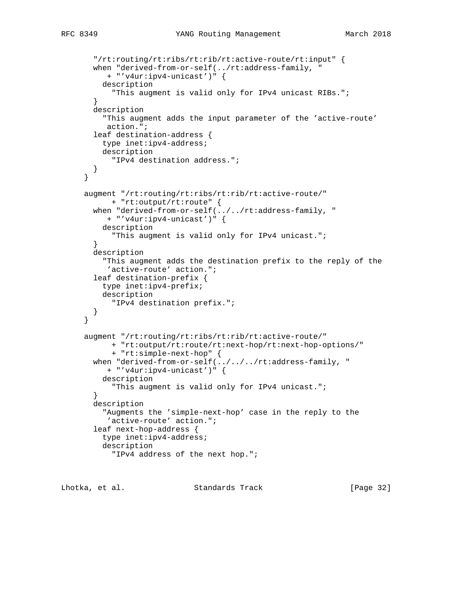```
 "/rt:routing/rt:ribs/rt:rib/rt:active-route/rt:input" {
      when "derived-from-or-self(../rt:address-family, "
          + "'v4ur:ipv4-unicast')" {
          description
            "This augment is valid only for IPv4 unicast RIBs.";
        }
        description
          "This augment adds the input parameter of the 'active-route'
          action.";
        leaf destination-address {
          type inet:ipv4-address;
         description
           "IPv4 destination address.";
        }
      }
      augment "/rt:routing/rt:ribs/rt:rib/rt:active-route/"
           + "rt:output/rt:route" {
       when "derived-from-or-self(../../rt:address-family, "
          + "'v4ur:ipv4-unicast')" {
          description
            "This augment is valid only for IPv4 unicast.";
 }
       description
          "This augment adds the destination prefix to the reply of the
           'active-route' action.";
        leaf destination-prefix {
         type inet:ipv4-prefix;
          description
            "IPv4 destination prefix.";
        }
      }
      augment "/rt:routing/rt:ribs/rt:rib/rt:active-route/"
            + "rt:output/rt:route/rt:next-hop/rt:next-hop-options/"
            + "rt:simple-next-hop" {
      when "derived-from-or-self(../../../rt:address-family, "
           + "'v4ur:ipv4-unicast')" {
          description
            "This augment is valid only for IPv4 unicast.";
 }
        description
          "Augments the 'simple-next-hop' case in the reply to the
          'active-route' action.";
        leaf next-hop-address {
          type inet:ipv4-address;
          description
            "IPv4 address of the next hop.";
```
Lhotka, et al. Standards Track [Page 32]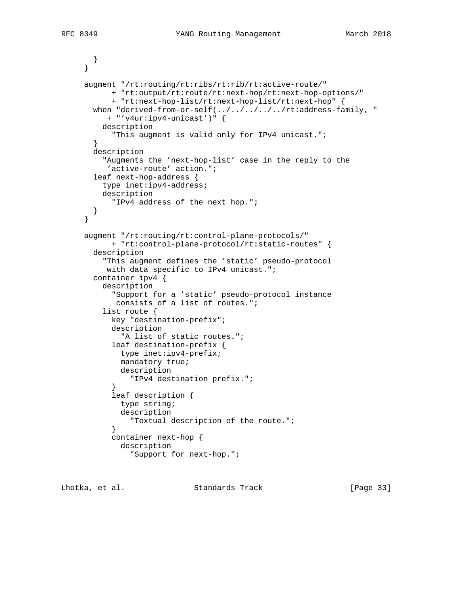```
 }
     }
     augment "/rt:routing/rt:ribs/rt:rib/rt:active-route/"
           + "rt:output/rt:route/rt:next-hop/rt:next-hop-options/"
            + "rt:next-hop-list/rt:next-hop-list/rt:next-hop" {
      when "derived-from-or-self(../../../../../rt:address-family, "
          + "'v4ur:ipv4-unicast')" {
          description
            "This augment is valid only for IPv4 unicast.";
        }
       description
          "Augments the 'next-hop-list' case in the reply to the
           'active-route' action.";
        leaf next-hop-address {
         type inet:ipv4-address;
         description
           "IPv4 address of the next hop.";
       }
     }
     augment "/rt:routing/rt:control-plane-protocols/"
           + "rt:control-plane-protocol/rt:static-routes" {
       description
          "This augment defines the 'static' pseudo-protocol
          with data specific to IPv4 unicast.";
        container ipv4 {
          description
            "Support for a 'static' pseudo-protocol instance
             consists of a list of routes.";
          list route {
           key "destination-prefix";
            description
              "A list of static routes.";
            leaf destination-prefix {
              type inet:ipv4-prefix;
              mandatory true;
              description
                "IPv4 destination prefix.";
 }
            leaf description {
             type string;
              description
               "Textual description of the route.";
 }
            container next-hop {
              description
                "Support for next-hop.";
```
Lhotka, et al. Standards Track [Page 33]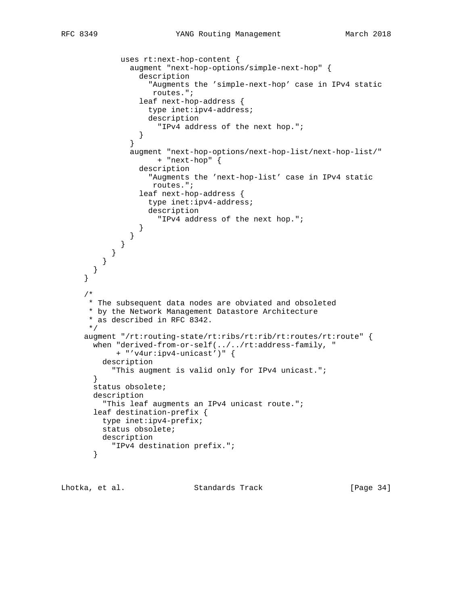```
 uses rt:next-hop-content {
               augment "next-hop-options/simple-next-hop" {
                 description
                    "Augments the 'simple-next-hop' case in IPv4 static
                    routes.";
                 leaf next-hop-address {
                   type inet:ipv4-address;
                    description
                      "IPv4 address of the next hop.";
 }
 }
                augment "next-hop-options/next-hop-list/next-hop-list/"
                     + "next-hop" {
                 description
                    "Augments the 'next-hop-list' case in IPv4 static
                    routes.";
                 leaf next-hop-address {
                    type inet:ipv4-address;
                    description
                      "IPv4 address of the next hop.";
 }
               }
             }
           }
         }
       }
     }
      /*
      * The subsequent data nodes are obviated and obsoleted
      * by the Network Management Datastore Architecture
      * as described in RFC 8342.
      */
     augment "/rt:routing-state/rt:ribs/rt:rib/rt:routes/rt:route" {
       when "derived-from-or-self(../../rt:address-family, "
            + "'v4ur:ipv4-unicast')" {
         description
           "This augment is valid only for IPv4 unicast.";
       }
       status obsolete;
       description
         "This leaf augments an IPv4 unicast route.";
       leaf destination-prefix {
         type inet:ipv4-prefix;
         status obsolete;
         description
           "IPv4 destination prefix.";
       }
```
Lhotka, et al. Standards Track [Page 34]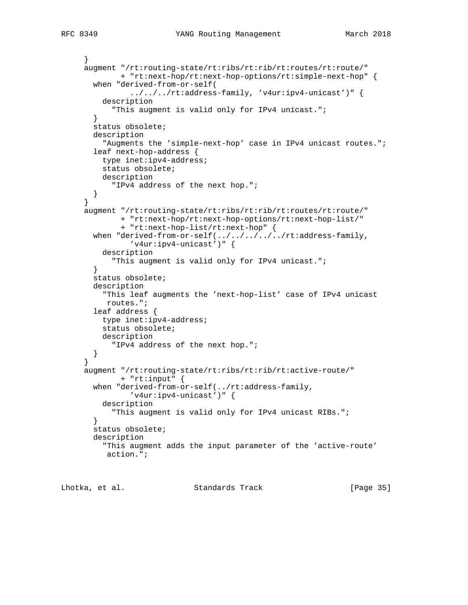```
 }
 augment "/rt:routing-state/rt:ribs/rt:rib/rt:routes/rt:route/"
        + "rt:next-hop/rt:next-hop-options/rt:simple-next-hop" {
  when "derived-from-or-self(
          ../../../rt:address-family, 'v4ur:ipv4-unicast')" {
     description
       "This augment is valid only for IPv4 unicast.";
   }
  status obsolete;
  description
     "Augments the 'simple-next-hop' case in IPv4 unicast routes.";
   leaf next-hop-address {
    type inet:ipv4-address;
     status obsolete;
    description
       "IPv4 address of the next hop.";
  }
 }
 augment "/rt:routing-state/rt:ribs/rt:rib/rt:routes/rt:route/"
         + "rt:next-hop/rt:next-hop-options/rt:next-hop-list/"
         + "rt:next-hop-list/rt:next-hop" {
 when "derived-from-or-self(../../../../../rt:address-family,
           'v4ur:ipv4-unicast')" {
     description
       "This augment is valid only for IPv4 unicast.";
   }
  status obsolete;
  description
     "This leaf augments the 'next-hop-list' case of IPv4 unicast
     routes.";
   leaf address {
    type inet:ipv4-address;
    status obsolete;
    description
       "IPv4 address of the next hop.";
  }
 }
 augment "/rt:routing-state/rt:ribs/rt:rib/rt:active-route/"
         + "rt:input" {
  when "derived-from-or-self(../rt:address-family,
           'v4ur:ipv4-unicast')" {
    description
       "This augment is valid only for IPv4 unicast RIBs.";
   }
  status obsolete;
  description
     "This augment adds the input parameter of the 'active-route'
     action.";
```
Lhotka, et al. Standards Track [Page 35]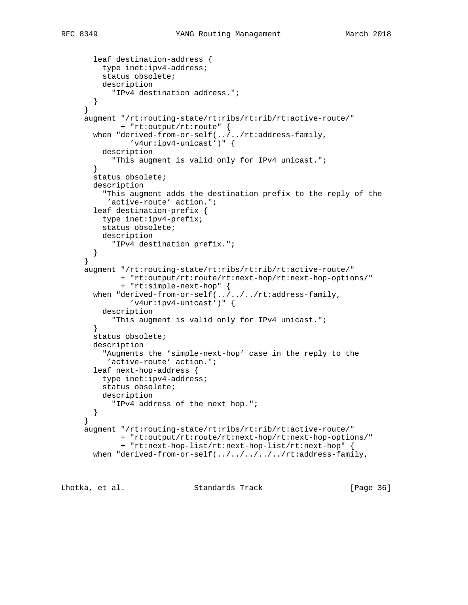```
 leaf destination-address {
    type inet:ipv4-address;
     status obsolete;
     description
       "IPv4 destination address.";
   }
 }
 augment "/rt:routing-state/rt:ribs/rt:rib/rt:active-route/"
         + "rt:output/rt:route" {
  when "derived-from-or-self(../../rt:address-family,
           'v4ur:ipv4-unicast')" {
     description
       "This augment is valid only for IPv4 unicast.";
   }
   status obsolete;
   description
     "This augment adds the destination prefix to the reply of the
      'active-route' action.";
   leaf destination-prefix {
    type inet:ipv4-prefix;
    status obsolete;
     description
       "IPv4 destination prefix.";
   }
 }
 augment "/rt:routing-state/rt:ribs/rt:rib/rt:active-route/"
         + "rt:output/rt:route/rt:next-hop/rt:next-hop-options/"
         + "rt:simple-next-hop" {
 when "derived-from-or-self(../../../rt:address-family,
           'v4ur:ipv4-unicast')" {
     description
       "This augment is valid only for IPv4 unicast.";
   }
  status obsolete;
   description
     "Augments the 'simple-next-hop' case in the reply to the
      'active-route' action.";
   leaf next-hop-address {
     type inet:ipv4-address;
     status obsolete;
     description
       "IPv4 address of the next hop.";
  }
 }
 augment "/rt:routing-state/rt:ribs/rt:rib/rt:active-route/"
         + "rt:output/rt:route/rt:next-hop/rt:next-hop-options/"
         + "rt:next-hop-list/rt:next-hop-list/rt:next-hop" {
 when "derived-from-or-self(../../../../../rt:address-family,
```
Lhotka, et al. Standards Track [Page 36]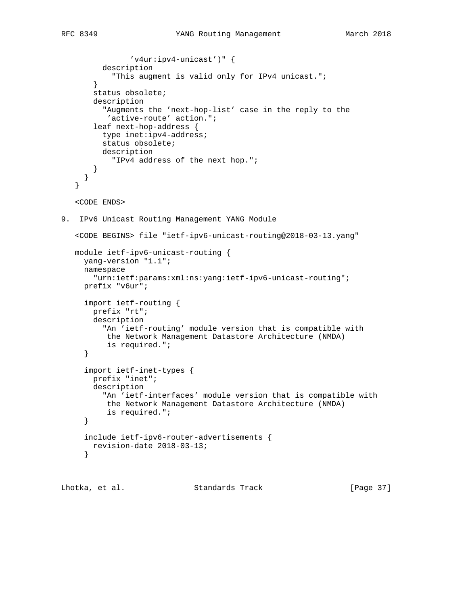```
 'v4ur:ipv4-unicast')" {
          description
            "This augment is valid only for IPv4 unicast.";
        }
        status obsolete;
        description
          "Augments the 'next-hop-list' case in the reply to the
           'active-route' action.";
        leaf next-hop-address {
          type inet:ipv4-address;
          status obsolete;
          description
            "IPv4 address of the next hop.";
        }
      }
    }
    <CODE ENDS>
9. IPv6 Unicast Routing Management YANG Module
    <CODE BEGINS> file "ietf-ipv6-unicast-routing@2018-03-13.yang"
   module ietf-ipv6-unicast-routing {
     yang-version "1.1";
      namespace
        "urn:ietf:params:xml:ns:yang:ietf-ipv6-unicast-routing";
      prefix "v6ur";
      import ietf-routing {
       prefix "rt";
        description
          "An 'ietf-routing' module version that is compatible with
          the Network Management Datastore Architecture (NMDA)
           is required.";
      }
      import ietf-inet-types {
        prefix "inet";
        description
          "An 'ietf-interfaces' module version that is compatible with
           the Network Management Datastore Architecture (NMDA)
           is required.";
      }
      include ietf-ipv6-router-advertisements {
        revision-date 2018-03-13;
      }
```
Lhotka, et al. Standards Track [Page 37]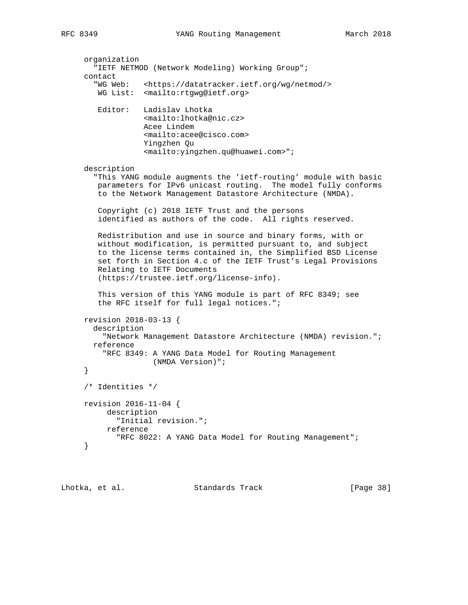```
 organization
   "IETF NETMOD (Network Modeling) Working Group";
 contact
   "WG Web: <https://datatracker.ietf.org/wg/netmod/>
   WG List: <mailto:rtgwg@ietf.org>
    Editor: Ladislav Lhotka
              <mailto:lhotka@nic.cz>
              Acee Lindem
              <mailto:acee@cisco.com>
              Yingzhen Qu
              <mailto:yingzhen.qu@huawei.com>";
 description
   "This YANG module augments the 'ietf-routing' module with basic
   parameters for IPv6 unicast routing. The model fully conforms
   to the Network Management Datastore Architecture (NMDA).
    Copyright (c) 2018 IETF Trust and the persons
    identified as authors of the code. All rights reserved.
   Redistribution and use in source and binary forms, with or
   without modification, is permitted pursuant to, and subject
   to the license terms contained in, the Simplified BSD License
    set forth in Section 4.c of the IETF Trust's Legal Provisions
   Relating to IETF Documents
    (https://trustee.ietf.org/license-info).
    This version of this YANG module is part of RFC 8349; see
    the RFC itself for full legal notices.";
 revision 2018-03-13 {
   description
     "Network Management Datastore Architecture (NMDA) revision.";
  reference
     "RFC 8349: A YANG Data Model for Routing Management
                (NMDA Version)";
 }
 /* Identities */
 revision 2016-11-04 {
     description
        "Initial revision.";
      reference
        "RFC 8022: A YANG Data Model for Routing Management";
 }
```
Lhotka, et al. Standards Track [Page 38]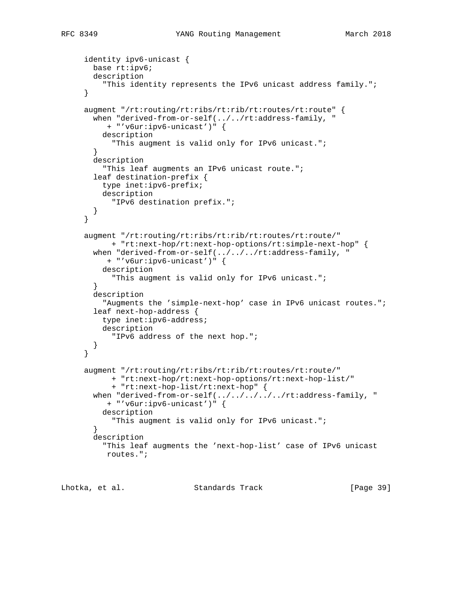```
 identity ipv6-unicast {
       base rt:ipv6;
       description
          "This identity represents the IPv6 unicast address family.";
      }
      augment "/rt:routing/rt:ribs/rt:rib/rt:routes/rt:route" {
       when "derived-from-or-self(../../rt:address-family, "
           + "'v6ur:ipv6-unicast')" {
         description
            "This augment is valid only for IPv6 unicast.";
        }
       description
          "This leaf augments an IPv6 unicast route.";
        leaf destination-prefix {
         type inet:ipv6-prefix;
         description
           "IPv6 destination prefix.";
       }
      }
      augment "/rt:routing/rt:ribs/rt:rib/rt:routes/rt:route/"
           + "rt:next-hop/rt:next-hop-options/rt:simple-next-hop" {
      when "derived-from-or-self(../../../rt:address-family, "
           + "'v6ur:ipv6-unicast')" {
          description
            "This augment is valid only for IPv6 unicast.";
 }
       description
          "Augments the 'simple-next-hop' case in IPv6 unicast routes.";
       leaf next-hop-address {
         type inet:ipv6-address;
          description
            "IPv6 address of the next hop.";
        }
      }
      augment "/rt:routing/rt:ribs/rt:rib/rt:routes/rt:route/"
            + "rt:next-hop/rt:next-hop-options/rt:next-hop-list/"
            + "rt:next-hop-list/rt:next-hop" {
      when "derived-from-or-self(../../../../../rt:address-family, "
           + "'v6ur:ipv6-unicast')" {
          description
            "This augment is valid only for IPv6 unicast.";
        }
        description
          "This leaf augments the 'next-hop-list' case of IPv6 unicast
          routes.";
```
Lhotka, et al. Standards Track [Page 39]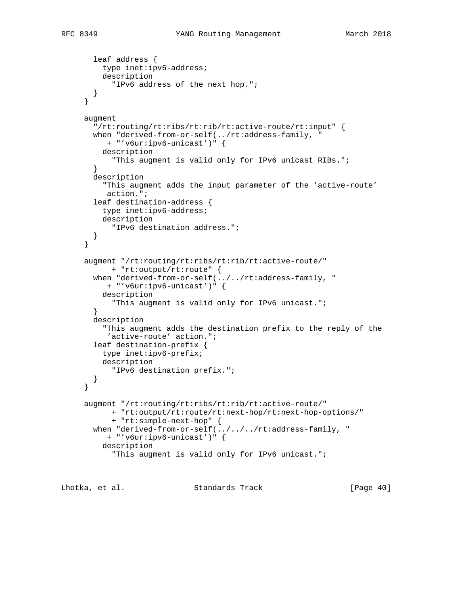```
 leaf address {
         type inet:ipv6-address;
          description
            "IPv6 address of the next hop.";
        }
      }
      augment
        "/rt:routing/rt:ribs/rt:rib/rt:active-route/rt:input" {
       when "derived-from-or-self(../rt:address-family, "
          + "'v6ur:ipv6-unicast')" {
          description
           "This augment is valid only for IPv6 unicast RIBs.";
 }
        description
          "This augment adds the input parameter of the 'active-route'
          action.";
        leaf destination-address {
         type inet:ipv6-address;
          description
            "IPv6 destination address.";
        }
      }
      augment "/rt:routing/rt:ribs/rt:rib/rt:active-route/"
            + "rt:output/rt:route" {
        when "derived-from-or-self(../../rt:address-family, "
          + "'v6ur:ipv6-unicast')" {
          description
            "This augment is valid only for IPv6 unicast.";
        }
        description
          "This augment adds the destination prefix to the reply of the
          'active-route' action.";
        leaf destination-prefix {
         type inet:ipv6-prefix;
         description
           "IPv6 destination prefix.";
        }
      }
      augment "/rt:routing/rt:ribs/rt:rib/rt:active-route/"
            + "rt:output/rt:route/rt:next-hop/rt:next-hop-options/"
            + "rt:simple-next-hop" {
       when "derived-from-or-self(../../../rt:address-family, "
           + "'v6ur:ipv6-unicast')" {
          description
            "This augment is valid only for IPv6 unicast.";
```
Lhotka, et al. Standards Track [Page 40]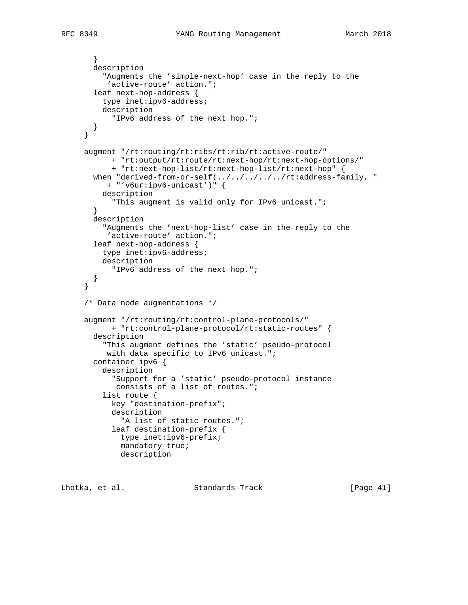```
 }
       description
          "Augments the 'simple-next-hop' case in the reply to the
           'active-route' action.";
        leaf next-hop-address {
         type inet:ipv6-address;
          description
            "IPv6 address of the next hop.";
       }
      }
      augment "/rt:routing/rt:ribs/rt:rib/rt:active-route/"
            + "rt:output/rt:route/rt:next-hop/rt:next-hop-options/"
            + "rt:next-hop-list/rt:next-hop-list/rt:next-hop" {
      when "derived-from-or-self(../../../../rt:address-family, "
           + "'v6ur:ipv6-unicast')" {
         description
            "This augment is valid only for IPv6 unicast.";
        }
       description
          "Augments the 'next-hop-list' case in the reply to the
           'active-route' action.";
        leaf next-hop-address {
         type inet:ipv6-address;
          description
            "IPv6 address of the next hop.";
        }
      }
      /* Data node augmentations */
      augment "/rt:routing/rt:control-plane-protocols/"
           + "rt:control-plane-protocol/rt:static-routes" {
        description
          "This augment defines the 'static' pseudo-protocol
         with data specific to IPv6 unicast.";
        container ipv6 {
          description
            "Support for a 'static' pseudo-protocol instance
            consists of a list of routes.";
          list route {
            key "destination-prefix";
            description
              "A list of static routes.";
            leaf destination-prefix {
              type inet:ipv6-prefix;
              mandatory true;
              description
```
Lhotka, et al. Standards Track [Page 41]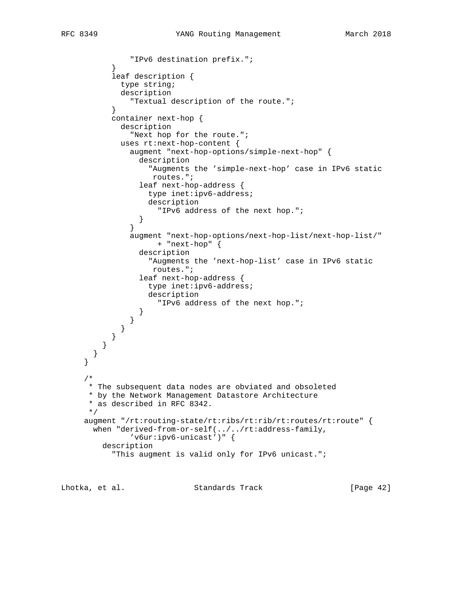```
 "IPv6 destination prefix.";
 }
           leaf description {
             type string;
             description
               "Textual description of the route.";
 }
           container next-hop {
             description
               "Next hop for the route.";
             uses rt:next-hop-content {
               augment "next-hop-options/simple-next-hop" {
                 description
                   "Augments the 'simple-next-hop' case in IPv6 static
                    routes.";
                 leaf next-hop-address {
                   type inet:ipv6-address;
                   description
                     "IPv6 address of the next hop.";
 }
 }
               augment "next-hop-options/next-hop-list/next-hop-list/"
                     + "next-hop" {
                 description
                   "Augments the 'next-hop-list' case in IPv6 static
                    routes.";
                 leaf next-hop-address {
                   type inet:ipv6-address;
                   description
                     "IPv6 address of the next hop.";
 }
               }
             }
           }
         }
       }
     }
     /*
      * The subsequent data nodes are obviated and obsoleted
      * by the Network Management Datastore Architecture
      * as described in RFC 8342.
      */
     augment "/rt:routing-state/rt:ribs/rt:rib/rt:routes/rt:route" {
       when "derived-from-or-self(../../rt:address-family,
               'v6ur:ipv6-unicast')" {
         description
            "This augment is valid only for IPv6 unicast.";
```
Lhotka, et al. Standards Track [Page 42]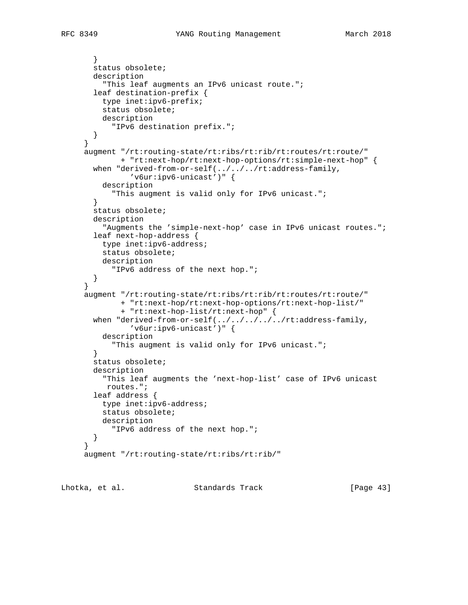```
 status obsolete;
  description
     "This leaf augments an IPv6 unicast route.";
   leaf destination-prefix {
    type inet:ipv6-prefix;
    status obsolete;
    description
       "IPv6 destination prefix.";
   }
 }
 augment "/rt:routing-state/rt:ribs/rt:rib/rt:routes/rt:route/"
         + "rt:next-hop/rt:next-hop-options/rt:simple-next-hop" {
  when "derived-from-or-self(../../../rt:address-family,
          'v6ur:ipv6-unicast')" {
     description
       "This augment is valid only for IPv6 unicast.";
   }
   status obsolete;
   description
     "Augments the 'simple-next-hop' case in IPv6 unicast routes.";
   leaf next-hop-address {
    type inet:ipv6-address;
    status obsolete;
    description
       "IPv6 address of the next hop.";
   }
 }
 augment "/rt:routing-state/rt:ribs/rt:rib/rt:routes/rt:route/"
         + "rt:next-hop/rt:next-hop-options/rt:next-hop-list/"
         + "rt:next-hop-list/rt:next-hop" {
 when "derived-from-or-self(\dots/../../../rt:address-family,
           'v6ur:ipv6-unicast')" {
     description
       "This augment is valid only for IPv6 unicast.";
   }
   status obsolete;
   description
     "This leaf augments the 'next-hop-list' case of IPv6 unicast
      routes.";
   leaf address {
    type inet:ipv6-address;
     status obsolete;
     description
       "IPv6 address of the next hop.";
   }
 }
 augment "/rt:routing-state/rt:ribs/rt:rib/"
```
Lhotka, et al. Standards Track [Page 43]

}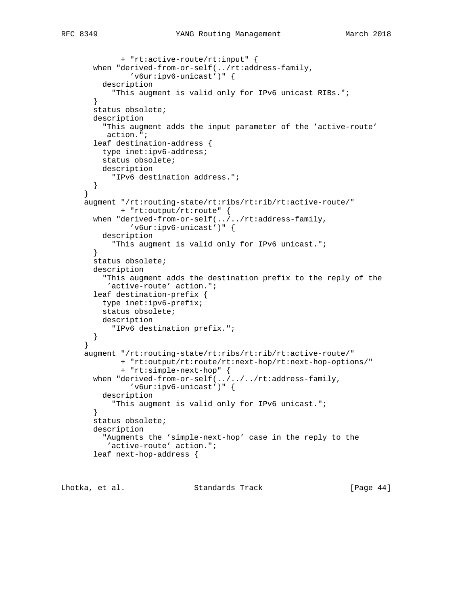```
 + "rt:active-route/rt:input" {
  when "derived-from-or-self(../rt:address-family,
          'v6ur:ipv6-unicast')" {
     description
       "This augment is valid only for IPv6 unicast RIBs.";
   }
  status obsolete;
  description
     "This augment adds the input parameter of the 'active-route'
     action.";
   leaf destination-address {
    type inet:ipv6-address;
     status obsolete;
    description
      "IPv6 destination address.";
  }
 }
 augment "/rt:routing-state/rt:ribs/rt:rib/rt:active-route/"
        + "rt:output/rt:route" {
  when "derived-from-or-self(../../rt:address-family,
           'v6ur:ipv6-unicast')" {
    description
       "This augment is valid only for IPv6 unicast.";
   }
  status obsolete;
  description
     "This augment adds the destination prefix to the reply of the
      'active-route' action.";
  leaf destination-prefix {
    type inet:ipv6-prefix;
    status obsolete;
    description
       "IPv6 destination prefix.";
  }
 }
 augment "/rt:routing-state/rt:ribs/rt:rib/rt:active-route/"
         + "rt:output/rt:route/rt:next-hop/rt:next-hop-options/"
         + "rt:simple-next-hop" {
 when "derived-from-or-self(../../../rt:address-family,
           'v6ur:ipv6-unicast')" {
    description
       "This augment is valid only for IPv6 unicast.";
   }
  status obsolete;
  description
     "Augments the 'simple-next-hop' case in the reply to the
     'active-route' action.";
   leaf next-hop-address {
```
Lhotka, et al. Standards Track [Page 44]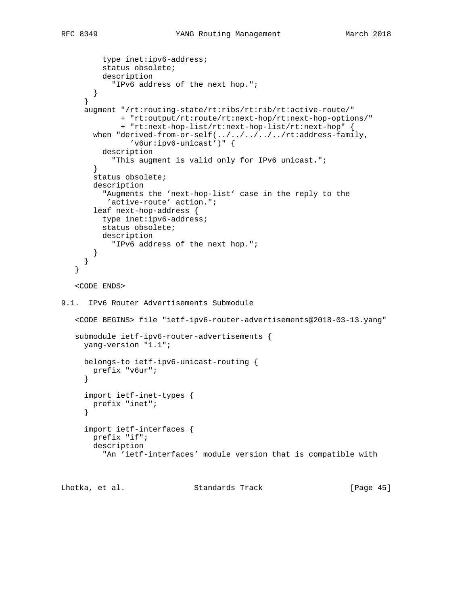```
 type inet:ipv6-address;
          status obsolete;
          description
            "IPv6 address of the next hop.";
        }
      }
      augment "/rt:routing-state/rt:ribs/rt:rib/rt:active-route/"
              + "rt:output/rt:route/rt:next-hop/rt:next-hop-options/"
              + "rt:next-hop-list/rt:next-hop-list/rt:next-hop" {
       when "derived-from-or-self(../../../../../rt:address-family,
                'v6ur:ipv6-unicast')" {
          description
            "This augment is valid only for IPv6 unicast.";
        }
        status obsolete;
        description
          "Augments the 'next-hop-list' case in the reply to the
           'active-route' action.";
        leaf next-hop-address {
          type inet:ipv6-address;
          status obsolete;
          description
            "IPv6 address of the next hop.";
        }
      }
    }
    <CODE ENDS>
9.1. IPv6 Router Advertisements Submodule
    <CODE BEGINS> file "ietf-ipv6-router-advertisements@2018-03-13.yang"
    submodule ietf-ipv6-router-advertisements {
      yang-version "1.1";
      belongs-to ietf-ipv6-unicast-routing {
       prefix "v6ur";
      }
      import ietf-inet-types {
       prefix "inet";
      }
      import ietf-interfaces {
        prefix "if";
        description
          "An 'ietf-interfaces' module version that is compatible with
```
Lhotka, et al. Standards Track [Page 45]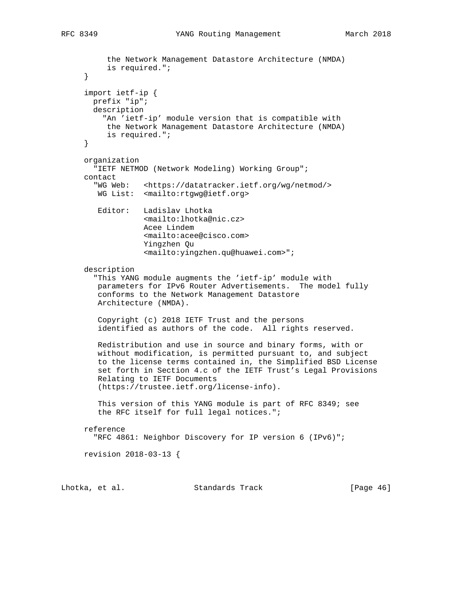the Network Management Datastore Architecture (NMDA)

```
 is required.";
 }
 import ietf-ip {
  prefix "ip";
  description
     "An 'ietf-ip' module version that is compatible with
     the Network Management Datastore Architecture (NMDA)
      is required.";
 }
 organization
   "IETF NETMOD (Network Modeling) Working Group";
 contact
   "WG Web: <https://datatracker.ietf.org/wg/netmod/>
   WG List: <mailto:rtgwg@ietf.org>
   Editor: Ladislav Lhotka
              <mailto:lhotka@nic.cz>
              Acee Lindem
              <mailto:acee@cisco.com>
              Yingzhen Qu
              <mailto:yingzhen.qu@huawei.com>";
 description
   "This YANG module augments the 'ietf-ip' module with
   parameters for IPv6 Router Advertisements. The model fully
    conforms to the Network Management Datastore
   Architecture (NMDA).
    Copyright (c) 2018 IETF Trust and the persons
    identified as authors of the code. All rights reserved.
   Redistribution and use in source and binary forms, with or
   without modification, is permitted pursuant to, and subject
    to the license terms contained in, the Simplified BSD License
    set forth in Section 4.c of the IETF Trust's Legal Provisions
    Relating to IETF Documents
    (https://trustee.ietf.org/license-info).
    This version of this YANG module is part of RFC 8349; see
    the RFC itself for full legal notices.";
 reference
   "RFC 4861: Neighbor Discovery for IP version 6 (IPv6)";
 revision 2018-03-13 {
```
Lhotka, et al. Standards Track [Page 46]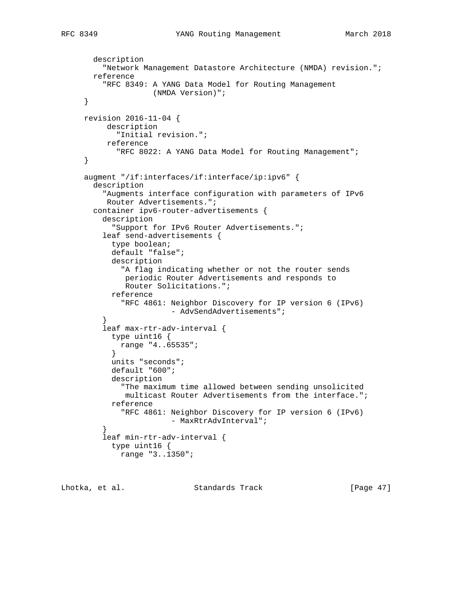```
 description
   "Network Management Datastore Architecture (NMDA) revision.";
 reference
   "RFC 8349: A YANG Data Model for Routing Management
```

```
 (NMDA Version)";
     }
     revision 2016-11-04 {
          description
            "Initial revision.";
          reference
             "RFC 8022: A YANG Data Model for Routing Management";
     }
     augment "/if:interfaces/if:interface/ip:ipv6" {
        description
          "Augments interface configuration with parameters of IPv6
          Router Advertisements.";
       container ipv6-router-advertisements {
         description
            "Support for IPv6 Router Advertisements.";
         leaf send-advertisements {
            type boolean;
           default "false";
            description
              "A flag indicating whether or not the router sends
              periodic Router Advertisements and responds to
              Router Solicitations.";
           reference
              "RFC 4861: Neighbor Discovery for IP version 6 (IPv6)
                        - AdvSendAdvertisements";
 }
          leaf max-rtr-adv-interval {
            type uint16 {
             range "4..65535";
 }
           units "seconds";
            default "600";
            description
              "The maximum time allowed between sending unsolicited
              multicast Router Advertisements from the interface.";
           reference
              "RFC 4861: Neighbor Discovery for IP version 6 (IPv6)
                        - MaxRtrAdvInterval";
 }
         leaf min-rtr-adv-interval {
            type uint16 {
             range "3..1350";
```

```
Lhotka, et al. Standards Track [Page 47]
```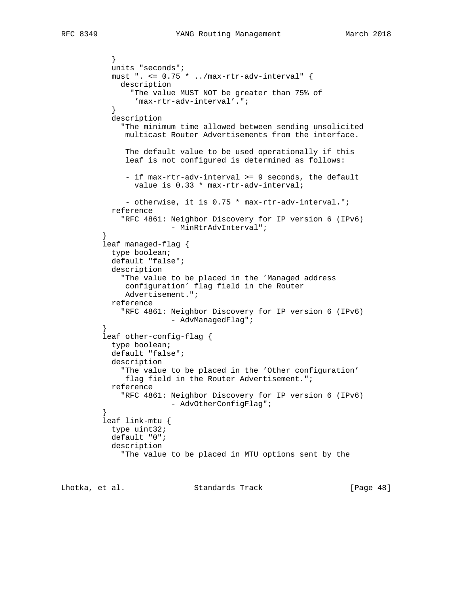```
 }
           units "seconds";
           must ". <= 0.75 * ../max-rtr-adv-interval" {
             description
                "The value MUST NOT be greater than 75% of
                'max-rtr-adv-interval'.";
 }
           description
              "The minimum time allowed between sending unsolicited
              multicast Router Advertisements from the interface.
              The default value to be used operationally if this
              leaf is not configured is determined as follows:
              - if max-rtr-adv-interval >= 9 seconds, the default
                value is 0.33 * max-rtr-adv-interval;
              - otherwise, it is 0.75 * max-rtr-adv-interval.";
           reference
             "RFC 4861: Neighbor Discovery for IP version 6 (IPv6)
                        - MinRtrAdvInterval";
 }
         leaf managed-flag {
           type boolean;
           default "false";
           description
              "The value to be placed in the 'Managed address
              configuration' flag field in the Router
              Advertisement.";
           reference
             "RFC 4861: Neighbor Discovery for IP version 6 (IPv6)
                      - AdvManagedFlag";
 }
         leaf other-config-flag {
           type boolean;
           default "false";
           description
             "The value to be placed in the 'Other configuration'
              flag field in the Router Advertisement.";
           reference
             "RFC 4861: Neighbor Discovery for IP version 6 (IPv6)
                       - AdvOtherConfigFlag";
 }
         leaf link-mtu {
           type uint32;
           default "0";
           description
              "The value to be placed in MTU options sent by the
```
Lhotka, et al. Standards Track [Page 48]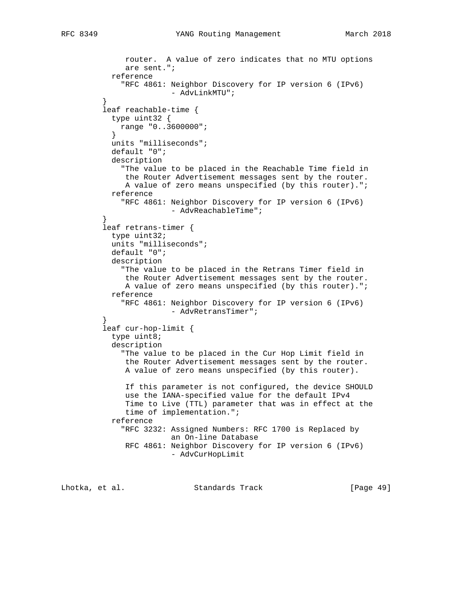```
 router. A value of zero indicates that no MTU options
              are sent.";
           reference
              "RFC 4861: Neighbor Discovery for IP version 6 (IPv6)
                       - AdvLinkMTU";
 }
         leaf reachable-time {
           type uint32 {
             range "0..3600000";
 }
           units "milliseconds";
           default "0";
           description
             "The value to be placed in the Reachable Time field in
              the Router Advertisement messages sent by the router.
              A value of zero means unspecified (by this router).";
           reference
             "RFC 4861: Neighbor Discovery for IP version 6 (IPv6)
                        - AdvReachableTime";
 }
         leaf retrans-timer {
           type uint32;
           units "milliseconds";
           default "0";
           description
              "The value to be placed in the Retrans Timer field in
              the Router Advertisement messages sent by the router.
              A value of zero means unspecified (by this router).";
           reference
              "RFC 4861: Neighbor Discovery for IP version 6 (IPv6)
                       - AdvRetransTimer";
 }
         leaf cur-hop-limit {
           type uint8;
           description
              "The value to be placed in the Cur Hop Limit field in
              the Router Advertisement messages sent by the router.
              A value of zero means unspecified (by this router).
              If this parameter is not configured, the device SHOULD
              use the IANA-specified value for the default IPv4
              Time to Live (TTL) parameter that was in effect at the
              time of implementation.";
           reference
              "RFC 3232: Assigned Numbers: RFC 1700 is Replaced by
                         an On-line Database
              RFC 4861: Neighbor Discovery for IP version 6 (IPv6)
                         - AdvCurHopLimit
```
Lhotka, et al. Standards Track [Page 49]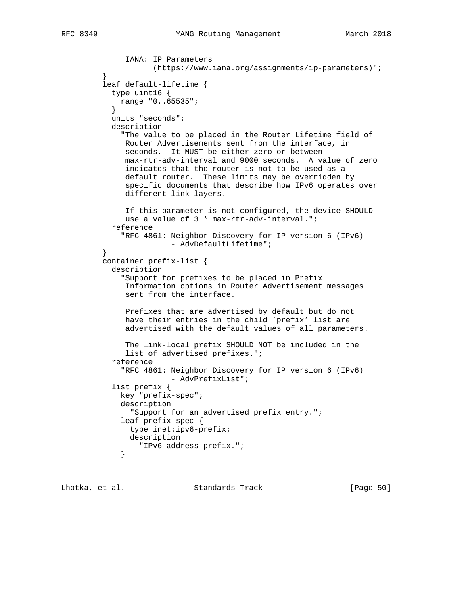```
 IANA: IP Parameters
                     (https://www.iana.org/assignments/ip-parameters)";
 }
         leaf default-lifetime {
           type uint16 {
            range "0..65535";
 }
           units "seconds";
           description
              "The value to be placed in the Router Lifetime field of
              Router Advertisements sent from the interface, in
              seconds. It MUST be either zero or between
              max-rtr-adv-interval and 9000 seconds. A value of zero
              indicates that the router is not to be used as a
              default router. These limits may be overridden by
              specific documents that describe how IPv6 operates over
              different link layers.
              If this parameter is not configured, the device SHOULD
              use a value of 3 * max-rtr-adv-interval.";
           reference
              "RFC 4861: Neighbor Discovery for IP version 6 (IPv6)
                        - AdvDefaultLifetime";
 }
         container prefix-list {
           description
              "Support for prefixes to be placed in Prefix
              Information options in Router Advertisement messages
              sent from the interface.
              Prefixes that are advertised by default but do not
              have their entries in the child 'prefix' list are
              advertised with the default values of all parameters.
              The link-local prefix SHOULD NOT be included in the
              list of advertised prefixes.";
           reference
              "RFC 4861: Neighbor Discovery for IP version 6 (IPv6)
                        - AdvPrefixList";
           list prefix {
             key "prefix-spec";
             description
               "Support for an advertised prefix entry.";
             leaf prefix-spec {
               type inet:ipv6-prefix;
               description
             "IPv6 address prefix.";
 }
```
Lhotka, et al. Standards Track [Page 50]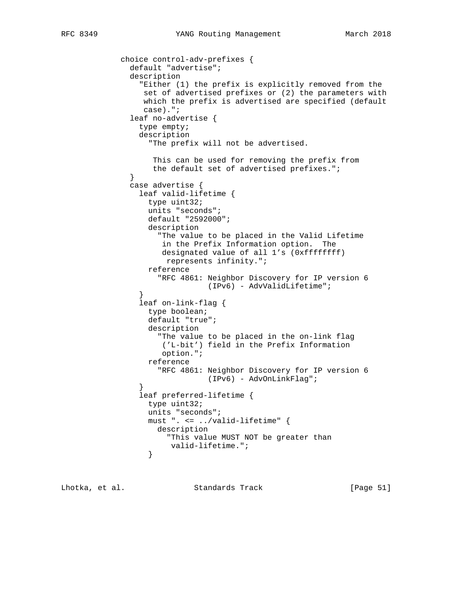```
 choice control-adv-prefixes {
               default "advertise";
               description
                  "Either (1) the prefix is explicitly removed from the
                  set of advertised prefixes or (2) the parameters with
                  which the prefix is advertised are specified (default
                  case).";
               leaf no-advertise {
                 type empty;
                 description
                   "The prefix will not be advertised.
                    This can be used for removing the prefix from
                    the default set of advertised prefixes.";
 }
               case advertise {
                 leaf valid-lifetime {
                   type uint32;
                   units "seconds";
                   default "2592000";
                   description
                     "The value to be placed in the Valid Lifetime
                      in the Prefix Information option. The
                      designated value of all 1's (0xffffffff)
                       represents infinity.";
                   reference
                     "RFC 4861: Neighbor Discovery for IP version 6
                                (IPv6) - AdvValidLifetime";
 }
                 leaf on-link-flag {
                   type boolean;
                   default "true";
                   description
                     "The value to be placed in the on-link flag
                      ('L-bit') field in the Prefix Information
                      option.";
                   reference
                     "RFC 4861: Neighbor Discovery for IP version 6
                                (IPv6) - AdvOnLinkFlag";
 }
                 leaf preferred-lifetime {
                   type uint32;
                   units "seconds";
                   must ". <= ../valid-lifetime" {
                     description
                       "This value MUST NOT be greater than
                  valid-lifetime.";<br>}
 }
```
Lhotka, et al. Standards Track [Page 51]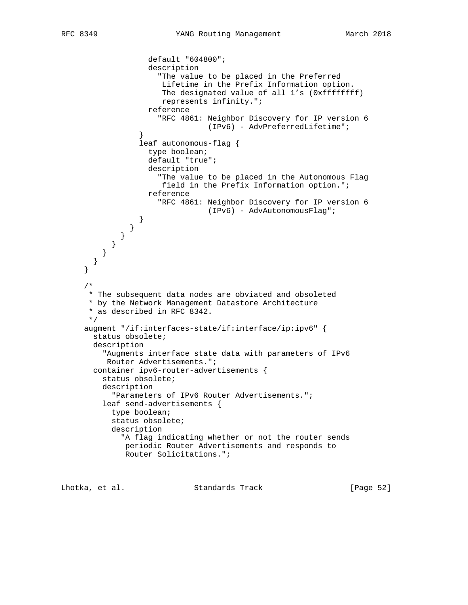```
 default "604800";
                    description
                      "The value to be placed in the Preferred
                       Lifetime in the Prefix Information option.
                      The designated value of all 1's (0xffffffff)
                       represents infinity.";
                    reference
                      "RFC 4861: Neighbor Discovery for IP version 6
                                (IPv6) - AdvPreferredLifetime";
 }
                  leaf autonomous-flag {
                    type boolean;
                    default "true";
                    description
                      "The value to be placed in the Autonomous Flag
                       field in the Prefix Information option.";
                    reference
                      "RFC 4861: Neighbor Discovery for IP version 6
                                 (IPv6) - AdvAutonomousFlag";
 }
               }
             }
          }
         }
       }
     }
      /*
      * The subsequent data nodes are obviated and obsoleted
      * by the Network Management Datastore Architecture
      * as described in RFC 8342.
      */
     augment "/if:interfaces-state/if:interface/ip:ipv6" {
       status obsolete;
       description
          "Augments interface state data with parameters of IPv6
          Router Advertisements.";
       container ipv6-router-advertisements {
         status obsolete;
         description
            "Parameters of IPv6 Router Advertisements.";
         leaf send-advertisements {
           type boolean;
           status obsolete;
           description
              "A flag indicating whether or not the router sends
              periodic Router Advertisements and responds to
              Router Solicitations.";
```
Lhotka, et al. Standards Track [Page 52]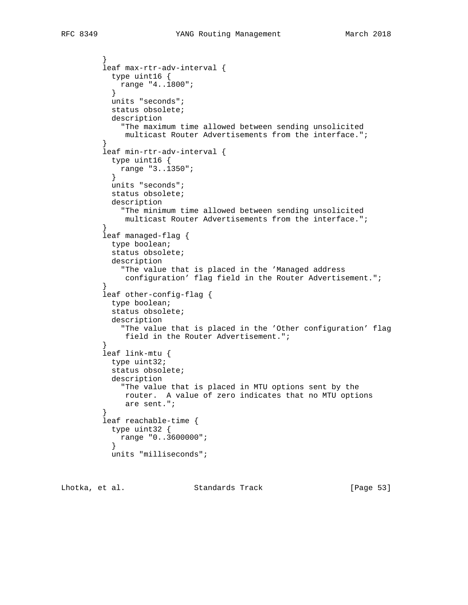```
 leaf max-rtr-adv-interval {
           type uint16 {
             range "4..1800";
 }
           units "seconds";
           status obsolete;
           description
              "The maximum time allowed between sending unsolicited
              multicast Router Advertisements from the interface.";
         leaf min-rtr-adv-interval {
           type uint16 {
           range "3..1350";<br>}
 }
           units "seconds";
           status obsolete;
           description
              "The minimum time allowed between sending unsolicited
              multicast Router Advertisements from the interface.";
         leaf managed-flag {
           type boolean;
           status obsolete;
           description
              "The value that is placed in the 'Managed address
              configuration' flag field in the Router Advertisement.";
         leaf other-config-flag {
           type boolean;
           status obsolete;
           description
              "The value that is placed in the 'Other configuration' flag
```

```
 field in the Router Advertisement.";
 }
         leaf link-mtu {
           type uint32;
           status obsolete;
           description
             "The value that is placed in MTU options sent by the
             router. A value of zero indicates that no MTU options
             are sent.";
 }
         leaf reachable-time {
           type uint32 {
          range "0..3600000";<br>}
 }
```

```
 units "milliseconds";
```
Lhotka, et al. Standards Track [Page 53]

}

}

}

}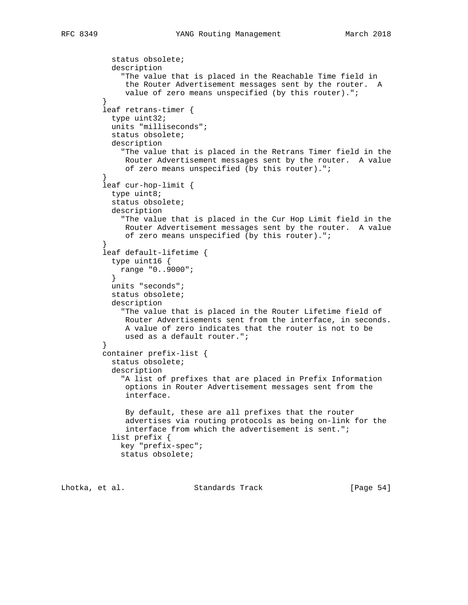```
 status obsolete;
           description
              "The value that is placed in the Reachable Time field in
              the Router Advertisement messages sent by the router. A
              value of zero means unspecified (by this router).";
 }
         leaf retrans-timer {
           type uint32;
           units "milliseconds";
           status obsolete;
           description
             "The value that is placed in the Retrans Timer field in the
              Router Advertisement messages sent by the router. A value
         of zero means unspecified (by this router).";<br>}
 }
         leaf cur-hop-limit {
           type uint8;
           status obsolete;
           description
             "The value that is placed in the Cur Hop Limit field in the
              Router Advertisement messages sent by the router. A value
              of zero means unspecified (by this router).";
 }
         leaf default-lifetime {
           type uint16 {
           range "0..9000";<br>}
 }
           units "seconds";
           status obsolete;
           description
              "The value that is placed in the Router Lifetime field of
              Router Advertisements sent from the interface, in seconds.
              A value of zero indicates that the router is not to be
         used as a default router.";<br>}
 }
         container prefix-list {
           status obsolete;
           description
              "A list of prefixes that are placed in Prefix Information
              options in Router Advertisement messages sent from the
              interface.
              By default, these are all prefixes that the router
              advertises via routing protocols as being on-link for the
              interface from which the advertisement is sent.";
           list prefix {
             key "prefix-spec";
             status obsolete;
```
Lhotka, et al. Standards Track [Page 54]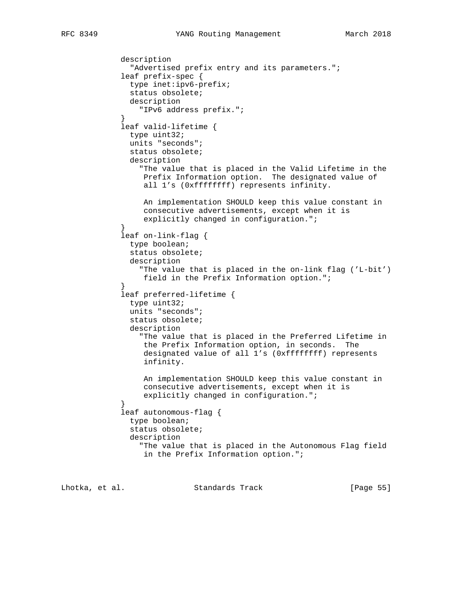```
 description
               "Advertised prefix entry and its parameters.";
             leaf prefix-spec {
               type inet:ipv6-prefix;
               status obsolete;
               description
                 "IPv6 address prefix.";
 }
             leaf valid-lifetime {
               type uint32;
               units "seconds";
               status obsolete;
               description
                 "The value that is placed in the Valid Lifetime in the
                  Prefix Information option. The designated value of
                  all 1's (0xffffffff) represents infinity.
                  An implementation SHOULD keep this value constant in
                  consecutive advertisements, except when it is
                 explicitly changed in configuration.";
 }
             leaf on-link-flag {
               type boolean;
               status obsolete;
               description
                  "The value that is placed in the on-link flag ('L-bit')
                  field in the Prefix Information option.";
 }
             leaf preferred-lifetime {
               type uint32;
               units "seconds";
               status obsolete;
               description
                  "The value that is placed in the Preferred Lifetime in
                  the Prefix Information option, in seconds. The
                  designated value of all 1's (0xffffffff) represents
                  infinity.
                  An implementation SHOULD keep this value constant in
                  consecutive advertisements, except when it is
                 explicitly changed in configuration.";
 }
             leaf autonomous-flag {
               type boolean;
               status obsolete;
               description
                  "The value that is placed in the Autonomous Flag field
                  in the Prefix Information option.";
```
Lhotka, et al. Standards Track [Page 55]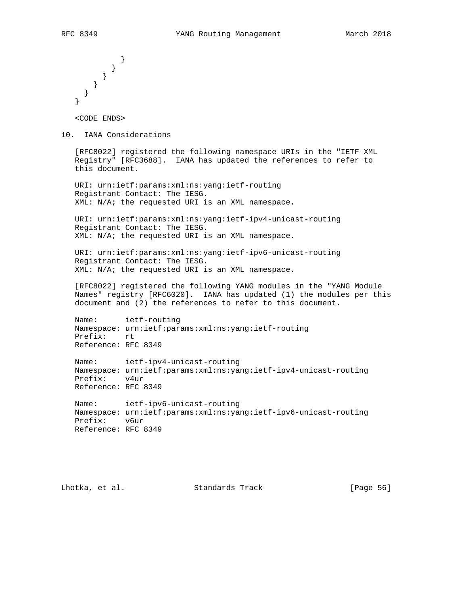```
 }
 }
 }
   }
   }
  }
```
<CODE ENDS>

10. IANA Considerations

 [RFC8022] registered the following namespace URIs in the "IETF XML Registry" [RFC3688]. IANA has updated the references to refer to this document.

 URI: urn:ietf:params:xml:ns:yang:ietf-routing Registrant Contact: The IESG. XML: N/A; the requested URI is an XML namespace.

 URI: urn:ietf:params:xml:ns:yang:ietf-ipv4-unicast-routing Registrant Contact: The IESG. XML: N/A; the requested URI is an XML namespace.

 URI: urn:ietf:params:xml:ns:yang:ietf-ipv6-unicast-routing Registrant Contact: The IESG. XML: N/A; the requested URI is an XML namespace.

 [RFC8022] registered the following YANG modules in the "YANG Module Names" registry [RFC6020]. IANA has updated (1) the modules per this document and (2) the references to refer to this document.

 Name: ietf-routing Namespace: urn:ietf:params:xml:ns:yang:ietf-routing Prefix: rt Reference: RFC 8349

 Name: ietf-ipv4-unicast-routing Namespace: urn:ietf:params:xml:ns:yang:ietf-ipv4-unicast-routing Prefix: v4ur Reference: RFC 8349

 Name: ietf-ipv6-unicast-routing Namespace: urn:ietf:params:xml:ns:yang:ietf-ipv6-unicast-routing Prefix: v6ur Reference: RFC 8349

Lhotka, et al. Standards Track [Page 56]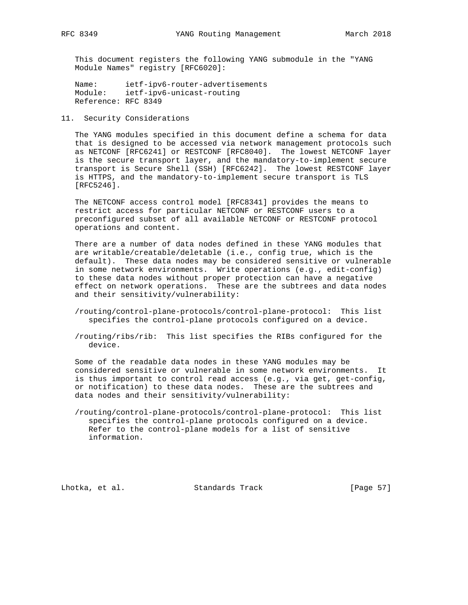This document registers the following YANG submodule in the "YANG Module Names" registry [RFC6020]:

 Name: ietf-ipv6-router-advertisements Module: ietf-ipv6-unicast-routing Reference: RFC 8349

11. Security Considerations

 The YANG modules specified in this document define a schema for data that is designed to be accessed via network management protocols such as NETCONF [RFC6241] or RESTCONF [RFC8040]. The lowest NETCONF layer is the secure transport layer, and the mandatory-to-implement secure transport is Secure Shell (SSH) [RFC6242]. The lowest RESTCONF layer is HTTPS, and the mandatory-to-implement secure transport is TLS [RFC5246].

 The NETCONF access control model [RFC8341] provides the means to restrict access for particular NETCONF or RESTCONF users to a preconfigured subset of all available NETCONF or RESTCONF protocol operations and content.

 There are a number of data nodes defined in these YANG modules that are writable/creatable/deletable (i.e., config true, which is the default). These data nodes may be considered sensitive or vulnerable in some network environments. Write operations (e.g., edit-config) to these data nodes without proper protection can have a negative effect on network operations. These are the subtrees and data nodes and their sensitivity/vulnerability:

- /routing/control-plane-protocols/control-plane-protocol: This list specifies the control-plane protocols configured on a device.
- /routing/ribs/rib: This list specifies the RIBs configured for the device.

 Some of the readable data nodes in these YANG modules may be considered sensitive or vulnerable in some network environments. It is thus important to control read access (e.g., via get, get-config, or notification) to these data nodes. These are the subtrees and data nodes and their sensitivity/vulnerability:

 /routing/control-plane-protocols/control-plane-protocol: This list specifies the control-plane protocols configured on a device. Refer to the control-plane models for a list of sensitive information.

Lhotka, et al. Standards Track [Page 57]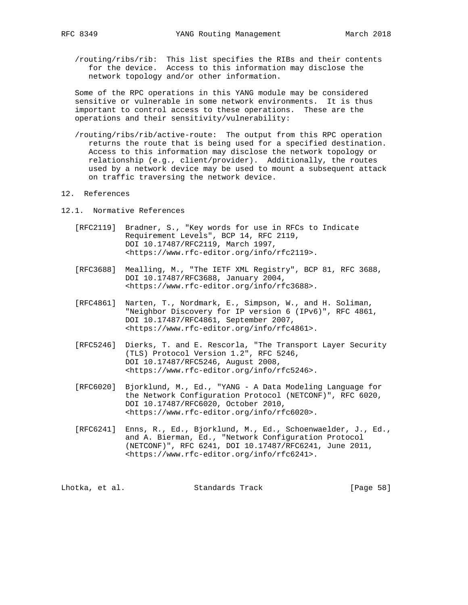/routing/ribs/rib: This list specifies the RIBs and their contents for the device. Access to this information may disclose the network topology and/or other information.

 Some of the RPC operations in this YANG module may be considered sensitive or vulnerable in some network environments. It is thus important to control access to these operations. These are the operations and their sensitivity/vulnerability:

 /routing/ribs/rib/active-route: The output from this RPC operation returns the route that is being used for a specified destination. Access to this information may disclose the network topology or relationship (e.g., client/provider). Additionally, the routes used by a network device may be used to mount a subsequent attack on traffic traversing the network device.

## 12. References

- 12.1. Normative References
	- [RFC2119] Bradner, S., "Key words for use in RFCs to Indicate Requirement Levels", BCP 14, RFC 2119, DOI 10.17487/RFC2119, March 1997, <https://www.rfc-editor.org/info/rfc2119>.
	- [RFC3688] Mealling, M., "The IETF XML Registry", BCP 81, RFC 3688, DOI 10.17487/RFC3688, January 2004, <https://www.rfc-editor.org/info/rfc3688>.
	- [RFC4861] Narten, T., Nordmark, E., Simpson, W., and H. Soliman, "Neighbor Discovery for IP version 6 (IPv6)", RFC 4861, DOI 10.17487/RFC4861, September 2007, <https://www.rfc-editor.org/info/rfc4861>.
	- [RFC5246] Dierks, T. and E. Rescorla, "The Transport Layer Security (TLS) Protocol Version 1.2", RFC 5246, DOI 10.17487/RFC5246, August 2008, <https://www.rfc-editor.org/info/rfc5246>.
	- [RFC6020] Bjorklund, M., Ed., "YANG A Data Modeling Language for the Network Configuration Protocol (NETCONF)", RFC 6020, DOI 10.17487/RFC6020, October 2010, <https://www.rfc-editor.org/info/rfc6020>.
	- [RFC6241] Enns, R., Ed., Bjorklund, M., Ed., Schoenwaelder, J., Ed., and A. Bierman, Ed., "Network Configuration Protocol (NETCONF)", RFC 6241, DOI 10.17487/RFC6241, June 2011, <https://www.rfc-editor.org/info/rfc6241>.

Lhotka, et al. Standards Track [Page 58]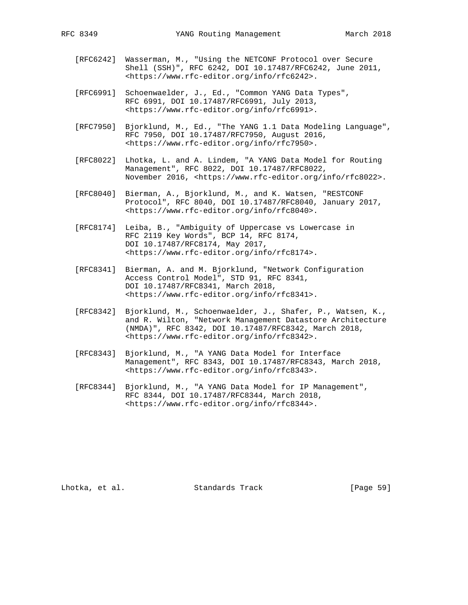- [RFC6242] Wasserman, M., "Using the NETCONF Protocol over Secure Shell (SSH)", RFC 6242, DOI 10.17487/RFC6242, June 2011, <https://www.rfc-editor.org/info/rfc6242>.
- [RFC6991] Schoenwaelder, J., Ed., "Common YANG Data Types", RFC 6991, DOI 10.17487/RFC6991, July 2013, <https://www.rfc-editor.org/info/rfc6991>.
- [RFC7950] Bjorklund, M., Ed., "The YANG 1.1 Data Modeling Language", RFC 7950, DOI 10.17487/RFC7950, August 2016, <https://www.rfc-editor.org/info/rfc7950>.
- [RFC8022] Lhotka, L. and A. Lindem, "A YANG Data Model for Routing Management", RFC 8022, DOI 10.17487/RFC8022, November 2016, <https://www.rfc-editor.org/info/rfc8022>.
- [RFC8040] Bierman, A., Bjorklund, M., and K. Watsen, "RESTCONF Protocol", RFC 8040, DOI 10.17487/RFC8040, January 2017, <https://www.rfc-editor.org/info/rfc8040>.
- [RFC8174] Leiba, B., "Ambiguity of Uppercase vs Lowercase in RFC 2119 Key Words", BCP 14, RFC 8174, DOI 10.17487/RFC8174, May 2017, <https://www.rfc-editor.org/info/rfc8174>.
- [RFC8341] Bierman, A. and M. Bjorklund, "Network Configuration Access Control Model", STD 91, RFC 8341, DOI 10.17487/RFC8341, March 2018, <https://www.rfc-editor.org/info/rfc8341>.
	- [RFC8342] Bjorklund, M., Schoenwaelder, J., Shafer, P., Watsen, K., and R. Wilton, "Network Management Datastore Architecture (NMDA)", RFC 8342, DOI 10.17487/RFC8342, March 2018, <https://www.rfc-editor.org/info/rfc8342>.
	- [RFC8343] Bjorklund, M., "A YANG Data Model for Interface Management", RFC 8343, DOI 10.17487/RFC8343, March 2018, <https://www.rfc-editor.org/info/rfc8343>.
	- [RFC8344] Bjorklund, M., "A YANG Data Model for IP Management", RFC 8344, DOI 10.17487/RFC8344, March 2018, <https://www.rfc-editor.org/info/rfc8344>.

Lhotka, et al. Standards Track [Page 59]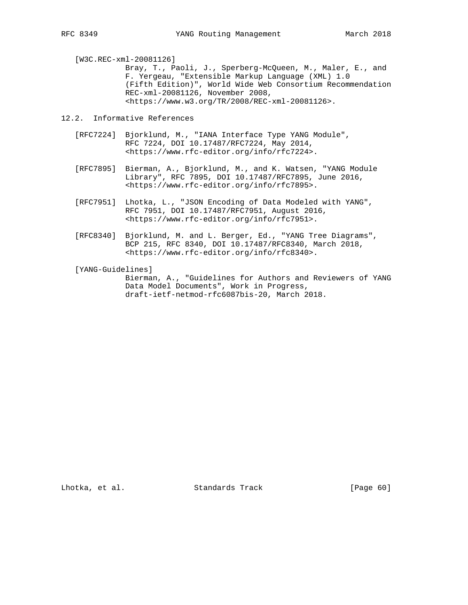[W3C.REC-xml-20081126]

 Bray, T., Paoli, J., Sperberg-McQueen, M., Maler, E., and F. Yergeau, "Extensible Markup Language (XML) 1.0 (Fifth Edition)", World Wide Web Consortium Recommendation REC-xml-20081126, November 2008, <https://www.w3.org/TR/2008/REC-xml-20081126>.

12.2. Informative References

- [RFC7224] Bjorklund, M., "IANA Interface Type YANG Module", RFC 7224, DOI 10.17487/RFC7224, May 2014, <https://www.rfc-editor.org/info/rfc7224>.
- [RFC7895] Bierman, A., Bjorklund, M., and K. Watsen, "YANG Module Library", RFC 7895, DOI 10.17487/RFC7895, June 2016, <https://www.rfc-editor.org/info/rfc7895>.
- [RFC7951] Lhotka, L., "JSON Encoding of Data Modeled with YANG", RFC 7951, DOI 10.17487/RFC7951, August 2016, <https://www.rfc-editor.org/info/rfc7951>.
- [RFC8340] Bjorklund, M. and L. Berger, Ed., "YANG Tree Diagrams", BCP 215, RFC 8340, DOI 10.17487/RFC8340, March 2018, <https://www.rfc-editor.org/info/rfc8340>.
- [YANG-Guidelines]

 Bierman, A., "Guidelines for Authors and Reviewers of YANG Data Model Documents", Work in Progress, draft-ietf-netmod-rfc6087bis-20, March 2018.

Lhotka, et al. Standards Track [Page 60]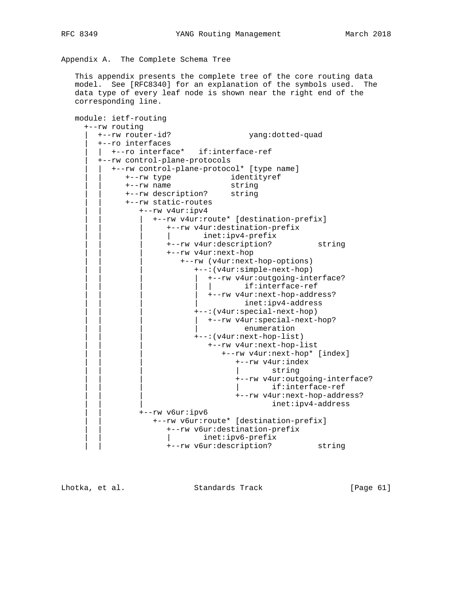Appendix A. The Complete Schema Tree

 This appendix presents the complete tree of the core routing data model. See [RFC8340] for an explanation of the symbols used. The data type of every leaf node is shown near the right end of the corresponding line.

```
 module: ietf-routing
      +--rw routing
       | +--rw router-id? yang:dotted-quad
        | +--ro interfaces
         | | +--ro interface* if:interface-ref
        | +--rw control-plane-protocols
           | | +--rw control-plane-protocol* [type name]
 | | +--rw type identityref
 | | +--rw name string
               | | +--rw description? string
               | | +--rw static-routes
                  | | +--rw v4ur:ipv4
                    | | | +--rw v4ur:route* [destination-prefix]
                        | | | +--rw v4ur:destination-prefix
                        | | | | inet:ipv4-prefix
                        | | | +--rw v4ur:description? string
                        | | | +--rw v4ur:next-hop
                           | | | +--rw (v4ur:next-hop-options)
                               | | | +--:(v4ur:simple-next-hop)
                                 | | | | +--rw v4ur:outgoing-interface?
                                | if:interface-ref
                              | +--rw v4ur:next-hop-address?
                                       inet:ipv4-address
                               | | | +--:(v4ur:special-next-hop)
                              | +--rw v4ur: special-next-hop?
                                        enumeration
                               | | | +--:(v4ur:next-hop-list)
                                 | | | +--rw v4ur:next-hop-list
                                     | | | +--rw v4ur:next-hop* [index]
                                        | | | +--rw v4ur:index
                                               string
                                        | | | +--rw v4ur:outgoing-interface?
                                                | | | | if:interface-ref
                                        | | | +--rw v4ur:next-hop-address?
                                              inet:ipv4-address
                  | | +--rw v6ur:ipv6
                    | | +--rw v6ur:route* [destination-prefix]
                        | | +--rw v6ur:destination-prefix
                        | | | inet:ipv6-prefix
                       | | +--rw v6ur:description? string
```
Lhotka, et al. Standards Track [Page 61]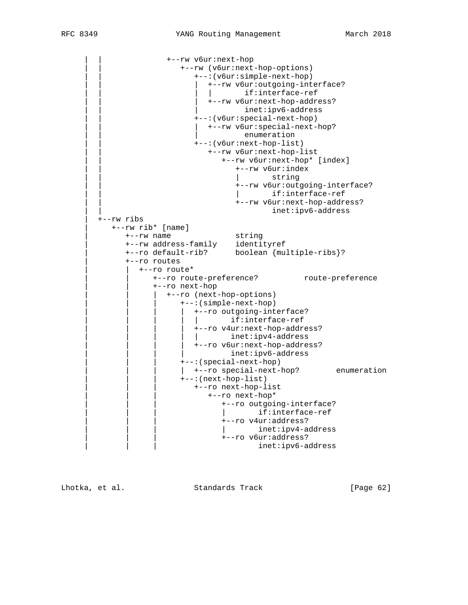```
 | | +--rw v6ur:next-hop
                            | | +--rw (v6ur:next-hop-options)
                                | | +--:(v6ur:simple-next-hop)
                                  | | | +--rw v6ur:outgoing-interface?
                                  | | | | if:interface-ref
                                 | | | +--rw v6ur:next-hop-address?
                                         inet:ipv6-address
                                | | +--:(v6ur:special-next-hop)
                               | +--rw v6ur: special-next-hop?
                                          enumeration
                                | | +--:(v6ur:next-hop-list)
                                  | | +--rw v6ur:next-hop-list
                                      | | +--rw v6ur:next-hop* [index]
                                         | | +--rw v6ur:index
                                                string
                                         | | +--rw v6ur:outgoing-interface?
                                                | | | if:interface-ref
                                         | | +--rw v6ur:next-hop-address?
                                                inet:ipv6-address
         | +--rw ribs
            | +--rw rib* [name]
 | +--rw name string
 | +--rw address-family identityref
 | +--ro default-rib? boolean {multiple-ribs}?
               | +--ro routes
                   | | +--ro route*
                     +--ro route-preference? route-preference
                      | | +--ro next-hop
                         | | | +--ro (next-hop-options)
                            | | | +--:(simple-next-hop)
                            | +--ro outgoing-interface?
                                    if:interface-ref
                              | | | | +--ro v4ur:next-hop-address?
                             | | | | | inet:ipv4-address
                              | | | | +--ro v6ur:next-hop-address?
                                      inet:ipv6-address
                            | | | +--:(special-next-hop)
                            | +--ro special-next-hop? enumeration
                            | | | +--:(next-hop-list)
                               | | | +--ro next-hop-list
                                  | | | +--ro next-hop*
                                     | | | +--ro outgoing-interface?
                                      | | | | if:interface-ref
                                      | | | +--ro v4ur:address?
                                      | | | | inet:ipv4-address
                                      | | | +--ro v6ur:address?
                                              inet:ipv6-address
```
Lhotka, et al. Standards Track [Page 62]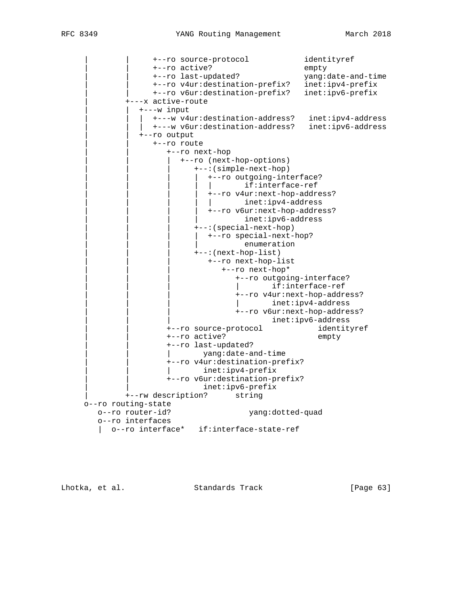| | +--ro source-protocol identityref | | +--ro active? empty | | +--ro last-updated? yang:date-and-time | | +--ro v4ur:destination-prefix? inet:ipv4-prefix | | +--ro v6ur:destination-prefix? inet:ipv6-prefix | +---x active-route | | +---w input | | | +---w v4ur:destination-address? inet:ipv4-address | | | +---w v6ur:destination-address? inet:ipv6-address | | +--ro output | | +--ro route | | +--ro next-hop | | | +--ro (next-hop-options) | | | +--:(simple-next-hop) | | | | +--ro outgoing-interface? if:interface-ref | | | | +--ro v4ur:next-hop-address? | | | | | inet:ipv4-address | +--ro v6ur:next-hop-address? inet:ipv6-address | | | +--:(special-next-hop) | | | | +--ro special-next-hop? enumeration | | | +--:(next-hop-list) | | | +--ro next-hop-list | | | +--ro next-hop\* | | | +--ro outgoing-interface? | if:interface-ref | | | +--ro v4ur:next-hop-address? | | | | inet:ipv4-address | | | +--ro v6ur:next-hop-address? inet:ipv6-address | | +--ro source-protocol identityref | | +--ro active? empty | | +--ro last-updated? | | | yang:date-and-time | | +--ro v4ur:destination-prefix? inet:ipv4-prefix | | +--ro v6ur:destination-prefix? inet:ipv6-prefix | +--rw description? string o--ro routing-state o--ro router-id? yang:dotted-quad o--ro interfaces | o--ro interface\* if:interface-state-ref

Lhotka, et al. Standards Track [Page 63]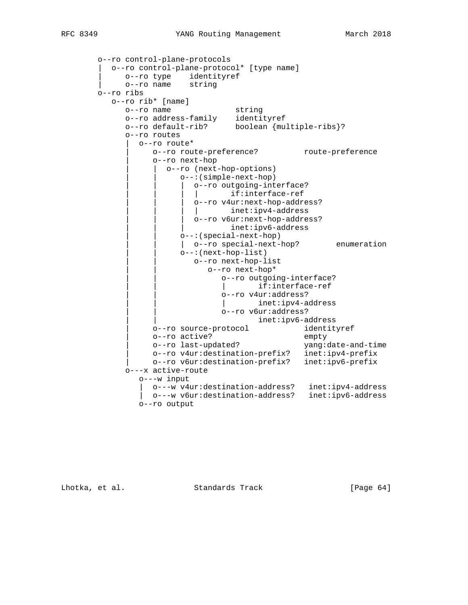```
 o--ro control-plane-protocols
         | o--ro control-plane-protocol* [type name]
 | o--ro type identityref
 | o--ro name string
        o--ro ribs
          o--ro rib* [name]
             o--ro name string
 o--ro address-family identityref
 o--ro default-rib? boolean {multiple-ribs}?
             o--ro routes
               | o--ro route*
                  | o--ro route-preference? route-preference
                  | o--ro next-hop
                     | | o--ro (next-hop-options)
                        | | o--:(simple-next-hop)
                        o--ro outgoing-interface?
                             if:interface-ref
                          | | | o--ro v4ur:next-hop-address?
                         | | | | inet:ipv4-address
                         | | | o--ro v6ur:next-hop-address?
                                 inet:ipv6-address
                        | | o--:(special-next-hop)
                       | o--ro special-next-hop? enumeration
                        | | o--:(next-hop-list)
                           | | o--ro next-hop-list
                              | | o--ro next-hop*
                                | | o--ro outgoing-interface?
                                | | | if:interface-ref
                                | | o--ro v4ur:address?
                                | | | inet:ipv4-address
                                | | o--ro v6ur:address?
                                       | | inet:ipv6-address
                  | o--ro source-protocol identityref
 | o--ro active? empty
 | o--ro last-updated? yang:date-and-time
 | o--ro v4ur:destination-prefix? inet:ipv4-prefix
                  | o--ro v6ur:destination-prefix? inet:ipv6-prefix
             o---x active-route
                o---w input
                 | o---w v4ur:destination-address? inet:ipv4-address
                | o---w v6ur:destination-address? inet:ipv6-address
                o--ro output
```
Lhotka, et al. Standards Track [Page 64]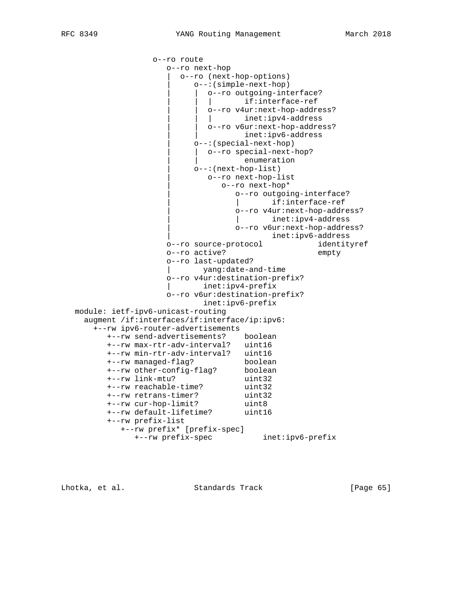```
 o--ro route
                     o--ro next-hop
                        | o--ro (next-hop-options)
                           | o--:(simple-next-hop)
                           o--ro outgoing-interface?
                             | | | if:interface-ref
                            | | o--ro v4ur:next-hop-address?
                             | | | inet:ipv4-address
                            | | o--ro v6ur:next-hop-address?
                                   inet:ipv6-address
                           | o--:(special-next-hop)
                          | o--ro special-next-hop?
                                   enumeration
                           | o--:(next-hop-list)
                             | o--ro next-hop-list
                                | o--ro next-hop*
                                   | o--ro outgoing-interface?
                                   | | if:interface-ref
                                   | o--ro v4ur:next-hop-address?
                                   | | inet:ipv4-address
                                   | o--ro v6ur:next-hop-address?
                                         | inet:ipv6-address
                     o--ro source-protocol identityref
                     o--ro active? empty
                     o--ro last-updated?
                     | yang:date-and-time
                     o--ro v4ur:destination-prefix?
                     | inet:ipv4-prefix
                     o--ro v6ur:destination-prefix?
                            inet:ipv6-prefix
   module: ietf-ipv6-unicast-routing
     augment /if:interfaces/if:interface/ip:ipv6:
       +--rw ipv6-router-advertisements
         +--rw send-advertisements? boolean
         +--rw max-rtr-adv-interval? uint16
         +--rw min-rtr-adv-interval? uint16
 +--rw managed-flag? boolean
 +--rw other-config-flag? boolean
 +--rw link-mtu? uint32
 +--rw reachable-time? uint32
 +--rw retrans-timer? uint32
 +--rw cur-hop-limit? uint8
         +--rw default-lifetime? uint16
         +--rw prefix-list
            +--rw prefix* [prefix-spec]
               +--rw prefix-spec inet:ipv6-prefix
```
Lhotka, et al. Standards Track [Page 65]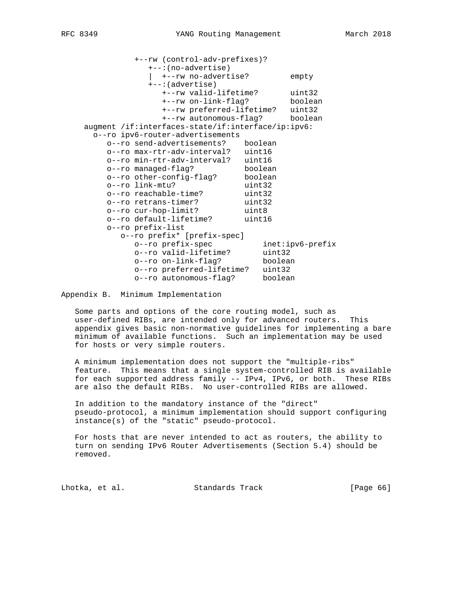+--rw (control-adv-prefixes)? +--:(no-advertise) | +--rw no-advertise? empty +--:(advertise) +--rw valid-lifetime? uint32 +--rw on-link-flag? boolean +--rw preferred-lifetime? uint32 +--rw autonomous-flag? boolean augment /if:interfaces-state/if:interface/ip:ipv6: o--ro ipv6-router-advertisements o--ro send-advertisements? boolean o--ro max-rtr-adv-interval? uint16 o--ro min-rtr-adv-interval? uint16 o--ro managed-flag? boolean o--ro other-config-flag? boolean o--ro link-mtu? uint32 o--ro reachable-time? uint32<br>o--ro retrans-timer? uint32 o--ro retrans-timer? uint32 o--ro cur-hop-limit? uint8 o--ro default-lifetime? uint16 o--ro prefix-list o--ro prefix\* [prefix-spec] o--ro prefix-spec inet:ipv6-prefix o--ro valid-lifetime? uint32 o--ro on-link-flag? boolean o--ro preferred-lifetime? uint32 o--ro autonomous-flag? boolean

Appendix B. Minimum Implementation

 Some parts and options of the core routing model, such as user-defined RIBs, are intended only for advanced routers. This appendix gives basic non-normative guidelines for implementing a bare minimum of available functions. Such an implementation may be used for hosts or very simple routers.

 A minimum implementation does not support the "multiple-ribs" feature. This means that a single system-controlled RIB is available for each supported address family -- IPv4, IPv6, or both. These RIBs are also the default RIBs. No user-controlled RIBs are allowed.

 In addition to the mandatory instance of the "direct" pseudo-protocol, a minimum implementation should support configuring instance(s) of the "static" pseudo-protocol.

 For hosts that are never intended to act as routers, the ability to turn on sending IPv6 Router Advertisements (Section 5.4) should be removed.

Lhotka, et al. Standards Track [Page 66]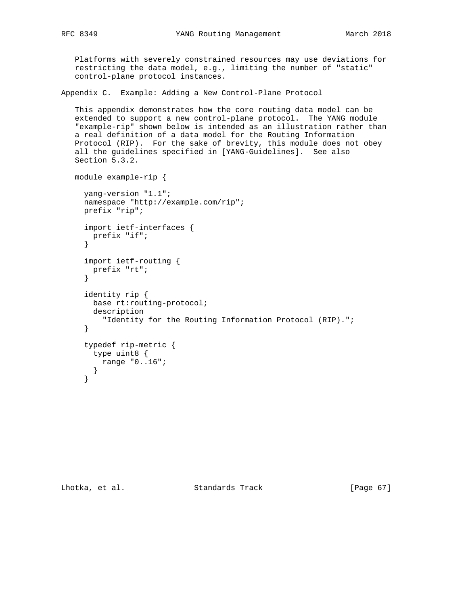Platforms with severely constrained resources may use deviations for restricting the data model, e.g., limiting the number of "static" control-plane protocol instances.

Appendix C. Example: Adding a New Control-Plane Protocol

 This appendix demonstrates how the core routing data model can be extended to support a new control-plane protocol. The YANG module "example-rip" shown below is intended as an illustration rather than a real definition of a data model for the Routing Information Protocol (RIP). For the sake of brevity, this module does not obey all the guidelines specified in [YANG-Guidelines]. See also Section 5.3.2.

```
 module example-rip {
```

```
 yang-version "1.1";
 namespace "http://example.com/rip";
 prefix "rip";
 import ietf-interfaces {
  prefix "if";
 }
 import ietf-routing {
  prefix "rt";
 }
 identity rip {
   base rt:routing-protocol;
   description
     "Identity for the Routing Information Protocol (RIP).";
 }
 typedef rip-metric {
   type uint8 {
     range "0..16";
   }
 }
```
Lhotka, et al. Standards Track [Page 67]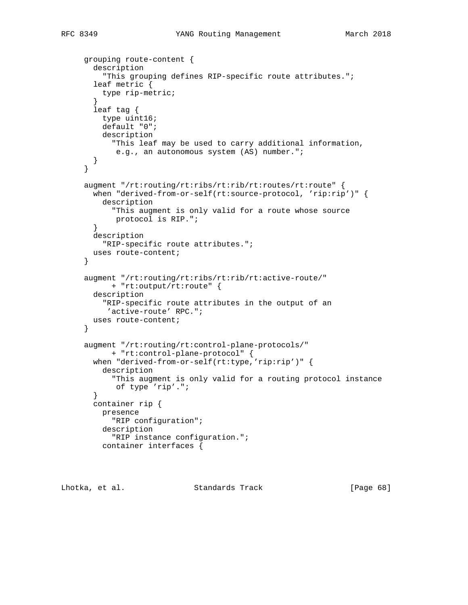```
 grouping route-content {
  description
     "This grouping defines RIP-specific route attributes.";
   leaf metric {
    type rip-metric;
   }
   leaf tag {
    type uint16;
    default "0";
    description
       "This leaf may be used to carry additional information,
       e.g., an autonomous system (AS) number.";
  }
 }
 augment "/rt:routing/rt:ribs/rt:rib/rt:routes/rt:route" {
 when "derived-from-or-self(rt:source-protocol, 'rip:rip')" {
    description
       "This augment is only valid for a route whose source
       protocol is RIP.";
   }
  description
     "RIP-specific route attributes.";
  uses route-content;
 }
 augment "/rt:routing/rt:ribs/rt:rib/rt:active-route/"
      + "rt:output/rt:route" {
  description
    "RIP-specific route attributes in the output of an
      'active-route' RPC.";
  uses route-content;
 }
 augment "/rt:routing/rt:control-plane-protocols/"
      + "rt:control-plane-protocol" {
 when "derived-from-or-self(rt:type,'rip:rip')" {
     description
       "This augment is only valid for a routing protocol instance
       of type 'rip'.";
   }
  container rip {
    presence
       "RIP configuration";
     description
       "RIP instance configuration.";
     container interfaces {
```
Lhotka, et al. Standards Track [Page 68]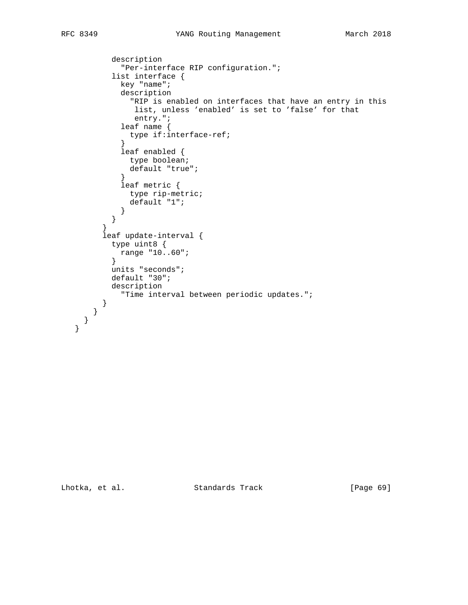```
 description
             "Per-interface RIP configuration.";
           list interface {
             key "name";
             description
               "RIP is enabled on interfaces that have an entry in this
               list, unless 'enabled' is set to 'false' for that
               entry.";
             leaf name {
            type if:interface-ref;
 }
             leaf enabled {
              type boolean;
            default "true";<br>}
 }
             leaf metric {
              type rip-metric;
               default "1";
 }
        }<br>}
 }
         leaf update-interval {
           type uint8 {
            range "10..60";
           }
           units "seconds";
           default "30";
           description
             "Time interval between periodic updates.";
         }
       }
```
 } }

Lhotka, et al. Standards Track [Page 69]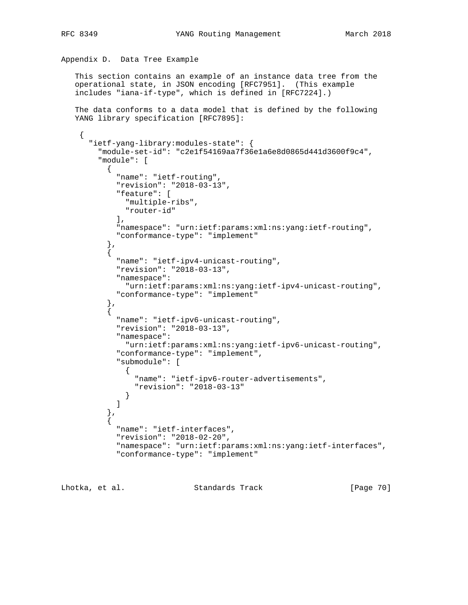```
Appendix D. Data Tree Example
```
 This section contains an example of an instance data tree from the operational state, in JSON encoding [RFC7951]. (This example includes "iana-if-type", which is defined in [RFC7224].)

 The data conforms to a data model that is defined by the following YANG library specification [RFC7895]:

```
 "ietf-yang-library:modules-state": {
        "module-set-id": "c2e1f54169aa7f36e1a6e8d0865d441d3600f9c4",
        "module": [
          {
            "name": "ietf-routing",
            "revision": "2018-03-13",
            "feature": [
              "multiple-ribs",
              "router-id"
           \,, \, "namespace": "urn:ietf:params:xml:ns:yang:ietf-routing",
            "conformance-type": "implement"
 },
\{ "name": "ietf-ipv4-unicast-routing",
            "revision": "2018-03-13",
            "namespace":
              "urn:ietf:params:xml:ns:yang:ietf-ipv4-unicast-routing",
            "conformance-type": "implement"
          },
\{ "name": "ietf-ipv6-unicast-routing",
            "revision": "2018-03-13",
            "namespace":
              "urn:ietf:params:xml:ns:yang:ietf-ipv6-unicast-routing",
            "conformance-type": "implement",
            "submodule": [
\{ "name": "ietf-ipv6-router-advertisements",
                "revision": "2018-03-13"
 }
 ]
          },
\{ "name": "ietf-interfaces",
            "revision": "2018-02-20",
            "namespace": "urn:ietf:params:xml:ns:yang:ietf-interfaces",
            "conformance-type": "implement"
```
Lhotka, et al. Standards Track [Page 70]

{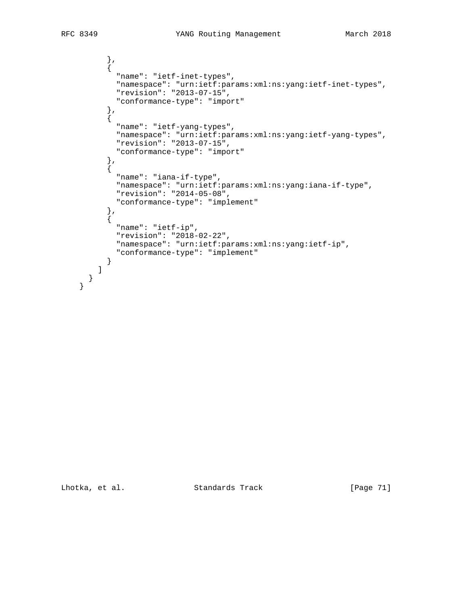},

```
\{ "name": "ietf-inet-types",
            "namespace": "urn:ietf:params:xml:ns:yang:ietf-inet-types",
            "revision": "2013-07-15",
            "conformance-type": "import"
           },
\{ "name": "ietf-yang-types",
            "namespace": "urn:ietf:params:xml:ns:yang:ietf-yang-types",
            "revision": "2013-07-15",
            "conformance-type": "import"
           },
           {
            "name": "iana-if-type",
            "namespace": "urn:ietf:params:xml:ns:yang:iana-if-type",
            "revision": "2014-05-08",
            "conformance-type": "implement"
           },
           {
            "name": "ietf-ip",
            "revision": "2018-02-22",
            "namespace": "urn:ietf:params:xml:ns:yang:ietf-ip",
             "conformance-type": "implement"
          }
        ]
```
 } }

Lhotka, et al. Standards Track [Page 71]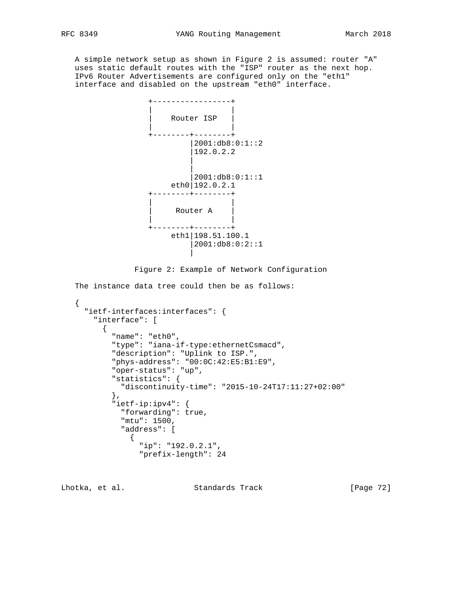A simple network setup as shown in Figure 2 is assumed: router "A" uses static default routes with the "ISP" router as the next hop. IPv6 Router Advertisements are configured only on the "eth1" interface and disabled on the upstream "eth0" interface.



Figure 2: Example of Network Configuration

The instance data tree could then be as follows:

```
 {
      "ietf-interfaces:interfaces": {
        "interface": [
         {
           "name": "eth0",
            "type": "iana-if-type:ethernetCsmacd",
            "description": "Uplink to ISP.",
            "phys-address": "00:0C:42:E5:B1:E9",
            "oper-status": "up",
            "statistics": {
             "discontinuity-time": "2015-10-24T17:11:27+02:00"
            },
            "ietf-ip:ipv4": {
              "forwarding": true,
              "mtu": 1500,
              "address": [
 {
                 "ip": "192.0.2.1",
                 "prefix-length": 24
```
Lhotka, et al. Standards Track [Page 72]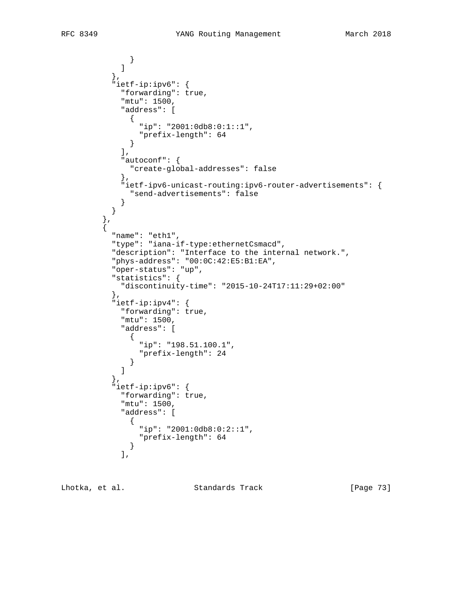```
 }
 ]
           },
           "ietf-ip:ipv6": {
             "forwarding": true,
             "mtu": 1500,
             "address": [
              {
                "ip": "2001:0db8:0:1::1",
                "prefix-length": 64
              }
            \left| \cdot \right| "autoconf": {
              "create-global-addresses": false
             },
             "ietf-ipv6-unicast-routing:ipv6-router-advertisements": {
             "send-advertisements": false
 }
           }
 },
\{ "name": "eth1",
           "type": "iana-if-type:ethernetCsmacd",
           "description": "Interface to the internal network.",
           "phys-address": "00:0C:42:E5:B1:EA",
           "oper-status": "up",
           "statistics": {
             "discontinuity-time": "2015-10-24T17:11:29+02:00"
           },
           "ietf-ip:ipv4": {
             "forwarding": true,
             "mtu": 1500,
             "address": [
 {
                "ip": "198.51.100.1",
              "prefix-length": 24
 }
 ]
           },
           "ietf-ip:ipv6": {
             "forwarding": true,
             "mtu": 1500,
             "address": [
 {
                "ip": "2001:0db8:0:2::1",
               "prefix-length": 64
 }
             ],
```
Lhotka, et al. Standards Track [Page 73]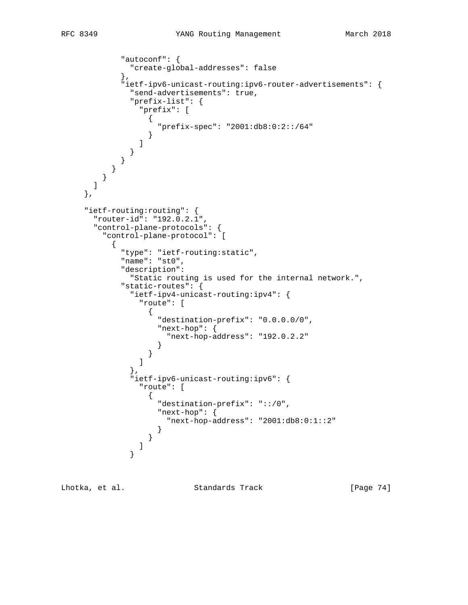```
 "autoconf": {
            "create-global-addresses": false
           },
           "ietf-ipv6-unicast-routing:ipv6-router-advertisements": {
            "send-advertisements": true,
            "prefix-list": {
              "prefix": [
\{ "prefix-spec": "2001:db8:0:2::/64"
 }
 ]
 }
 }
 }
 }
      ]
    },
    "ietf-routing:routing": {
      "router-id": "192.0.2.1",
      "control-plane-protocols": {
       "control-plane-protocol": [
\{ "type": "ietf-routing:static",
           "name": "st0",
           "description":
            "Static routing is used for the internal network.",
           "static-routes": {
            "ietf-ipv4-unicast-routing:ipv4": {
              "route": [
\{ "destination-prefix": "0.0.0.0/0",
                 "next-hop": {
                  "next-hop-address": "192.0.2.2"
 }
 }
 ]
\},
            "ietf-ipv6-unicast-routing:ipv6": {
              "route": [
\{ "destination-prefix": "::/0",
                 "next-hop": {
                  "next-hop-address": "2001:db8:0:1::2"
 }
 }
 ]
 }
```
Lhotka, et al. Standards Track [Page 74]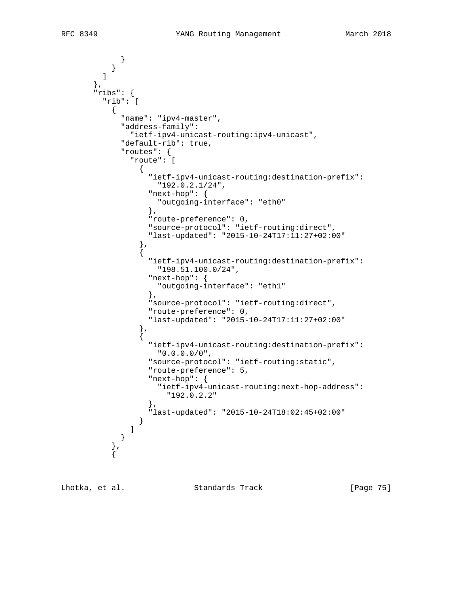```
 }
 }
 ]
       },
       "ribs": {
        "rib": [
          {
            "name": "ipv4-master",
            "address-family":
              "ietf-ipv4-unicast-routing:ipv4-unicast",
            "default-rib": true,
            "routes": {
              "route": [
\{ "ietf-ipv4-unicast-routing:destination-prefix":
                   "192.0.2.1/24",
                 "next-hop": {
                   "outgoing-interface": "eth0"
 },
                 "route-preference": 0,
                 "source-protocol": "ietf-routing:direct",
                 "last-updated": "2015-10-24T17:11:27+02:00"
               },
{
                 "ietf-ipv4-unicast-routing:destination-prefix":
                   "198.51.100.0/24",
                 "next-hop": {
                   "outgoing-interface": "eth1"
 },
                 "source-protocol": "ietf-routing:direct",
                 "route-preference": 0,
                 "last-updated": "2015-10-24T17:11:27+02:00"
               },
\{ "ietf-ipv4-unicast-routing:destination-prefix":
                   "0.0.0.0/0",
                 "source-protocol": "ietf-routing:static",
                 "route-preference": 5,
                 "next-hop": {
                   "ietf-ipv4-unicast-routing:next-hop-address":
                     "192.0.2.2"
 },
                 "last-updated": "2015-10-24T18:02:45+02:00"
 }
 ]
 }
          },
\{
```
Lhotka, et al. Standards Track [Page 75]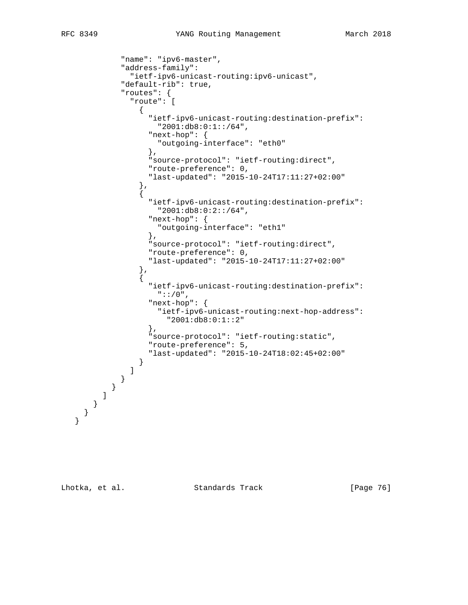```
 "name": "ipv6-master",
            "address-family":
              "ietf-ipv6-unicast-routing:ipv6-unicast",
            "default-rib": true,
            "routes": {
              "route": [
\{ "ietf-ipv6-unicast-routing:destination-prefix":
                   "2001:db8:0:1::/64",
                  "next-hop": {
                   "outgoing-interface": "eth0"
 },
                  "source-protocol": "ietf-routing:direct",
                  "route-preference": 0,
                  "last-updated": "2015-10-24T17:11:27+02:00"
                },
\{ "ietf-ipv6-unicast-routing:destination-prefix":
                   "2001:db8:0:2::/64",
                  "next-hop": {
                   "outgoing-interface": "eth1"
 },
                  "source-protocol": "ietf-routing:direct",
                  "route-preference": 0,
                  "last-updated": "2015-10-24T17:11:27+02:00"
                },
{
                  "ietf-ipv6-unicast-routing:destination-prefix":
                   "::/0",
                  "next-hop": {
                   "ietf-ipv6-unicast-routing:next-hop-address":
                     "2001:db8:0:1::2"
                  },
                  "source-protocol": "ietf-routing:static",
                  "route-preference": 5,
                  "last-updated": "2015-10-24T18:02:45+02:00"
 }
 ]
 }
 }
 ]
 }
 }
   }
```
Lhotka, et al. Standards Track [Page 76]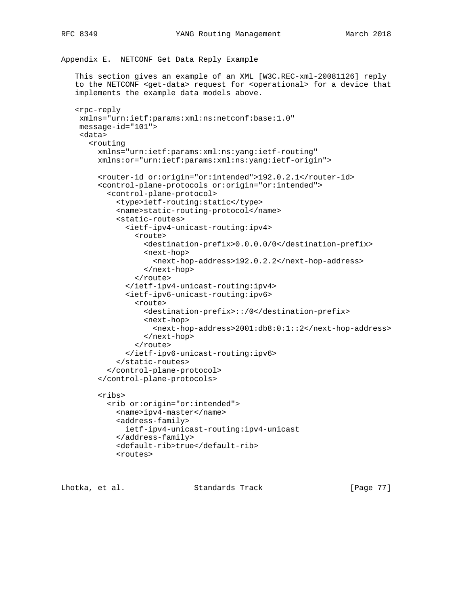Appendix E. NETCONF Get Data Reply Example

 This section gives an example of an XML [W3C.REC-xml-20081126] reply to the NETCONF <get-data> request for <operational> for a device that implements the example data models above.

```
 <rpc-reply
 xmlns="urn:ietf:params:xml:ns:netconf:base:1.0"
 message-id="101">
  <data>
    <routing
      xmlns="urn:ietf:params:xml:ns:yang:ietf-routing"
      xmlns:or="urn:ietf:params:xml:ns:yang:ietf-origin">
      <router-id or:origin="or:intended">192.0.2.1</router-id>
      <control-plane-protocols or:origin="or:intended">
        <control-plane-protocol>
          <type>ietf-routing:static</type>
          <name>static-routing-protocol</name>
          <static-routes>
            <ietf-ipv4-unicast-routing:ipv4>
              <route>
                <destination-prefix>0.0.0.0/0</destination-prefix>
                <next-hop>
                  <next-hop-address>192.0.2.2</next-hop-address>
                </next-hop>
              </route>
            </ietf-ipv4-unicast-routing:ipv4>
            <ietf-ipv6-unicast-routing:ipv6>
              <route>
                <destination-prefix>::/0</destination-prefix>
                <next-hop>
                   <next-hop-address>2001:db8:0:1::2</next-hop-address>
                </next-hop>
              </route>
            </ietf-ipv6-unicast-routing:ipv6>
          </static-routes>
        </control-plane-protocol>
      </control-plane-protocols>
      <ribs>
        <rib or:origin="or:intended">
          <name>ipv4-master</name>
          <address-family>
            ietf-ipv4-unicast-routing:ipv4-unicast
          </address-family>
          <default-rib>true</default-rib>
          <routes>
```
Lhotka, et al. Standards Track [Page 77]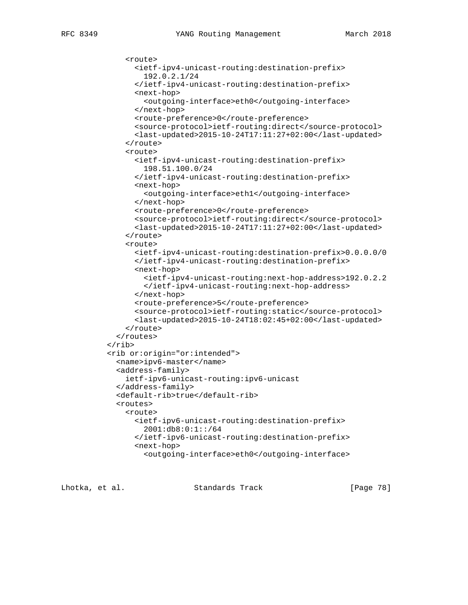```
 <route>
       <ietf-ipv4-unicast-routing:destination-prefix>
         192.0.2.1/24
       </ietf-ipv4-unicast-routing:destination-prefix>
       <next-hop>
         <outgoing-interface>eth0</outgoing-interface>
       </next-hop>
       <route-preference>0</route-preference>
       <source-protocol>ietf-routing:direct</source-protocol>
       <last-updated>2015-10-24T17:11:27+02:00</last-updated>
     </route>
     <route>
       <ietf-ipv4-unicast-routing:destination-prefix>
         198.51.100.0/24
       </ietf-ipv4-unicast-routing:destination-prefix>
       <next-hop>
         <outgoing-interface>eth1</outgoing-interface>
       </next-hop>
       <route-preference>0</route-preference>
       <source-protocol>ietf-routing:direct</source-protocol>
       <last-updated>2015-10-24T17:11:27+02:00</last-updated>
     </route>
     <route>
       <ietf-ipv4-unicast-routing:destination-prefix>0.0.0.0/0
       </ietf-ipv4-unicast-routing:destination-prefix>
       <next-hop>
         <ietf-ipv4-unicast-routing:next-hop-address>192.0.2.2
         </ietf-ipv4-unicast-routing:next-hop-address>
       </next-hop>
       <route-preference>5</route-preference>
       <source-protocol>ietf-routing:static</source-protocol>
       <last-updated>2015-10-24T18:02:45+02:00</last-updated>
     </route>
   </routes>
\langlerib>
 <rib or:origin="or:intended">
   <name>ipv6-master</name>
   <address-family>
     ietf-ipv6-unicast-routing:ipv6-unicast
   </address-family>
   <default-rib>true</default-rib>
   <routes>
     <route>
       <ietf-ipv6-unicast-routing:destination-prefix>
         2001:db8:0:1::/64
       </ietf-ipv6-unicast-routing:destination-prefix>
       <next-hop>
         <outgoing-interface>eth0</outgoing-interface>
```
Lhotka, et al. Standards Track [Page 78]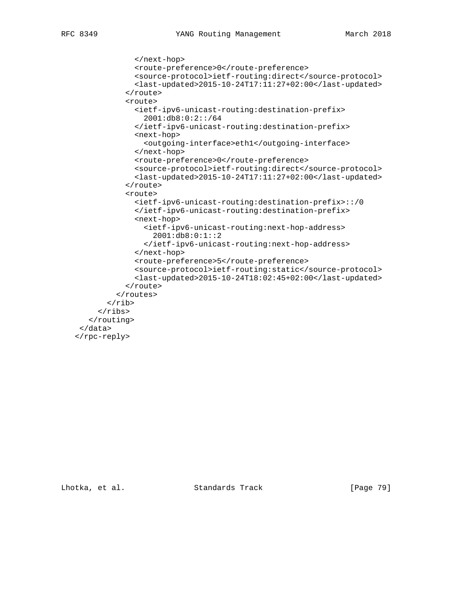```
 </next-hop>
              <route-preference>0</route-preference>
              <source-protocol>ietf-routing:direct</source-protocol>
              <last-updated>2015-10-24T17:11:27+02:00</last-updated>
            </route>
            <route>
              <ietf-ipv6-unicast-routing:destination-prefix>
                2001:db8:0:2::/64
              </ietf-ipv6-unicast-routing:destination-prefix>
              <next-hop>
                <outgoing-interface>eth1</outgoing-interface>
              </next-hop>
              <route-preference>0</route-preference>
              <source-protocol>ietf-routing:direct</source-protocol>
              <last-updated>2015-10-24T17:11:27+02:00</last-updated>
            </route>
            <route>
              <ietf-ipv6-unicast-routing:destination-prefix>::/0
              </ietf-ipv6-unicast-routing:destination-prefix>
              <next-hop>
                <ietf-ipv6-unicast-routing:next-hop-address>
                  2001:db8:0:1::2
                </ietf-ipv6-unicast-routing:next-hop-address>
              </next-hop>
              <route-preference>5</route-preference>
              <source-protocol>ietf-routing:static</source-protocol>
              <last-updated>2015-10-24T18:02:45+02:00</last-updated>
            </route>
          </routes>
       \langlerib>
     \langleribs>
    </routing>
  </data>
 </rpc-reply>
```
Lhotka, et al. Standards Track [Page 79]